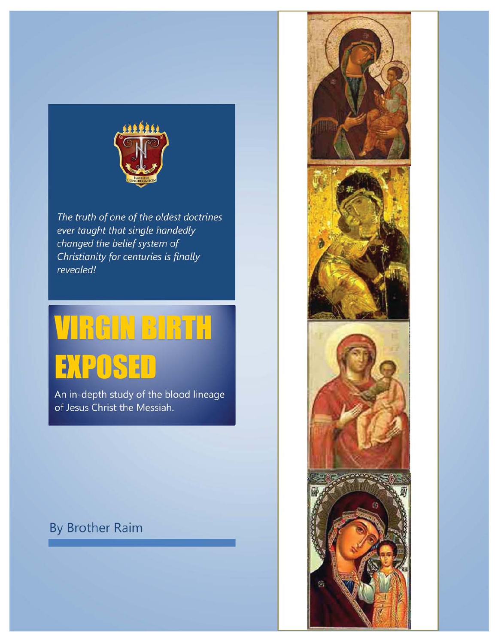

The truth of one of the oldest doctrines ever taught that single handedly changed the belief system of Christianity for centuries is finally revealed!

# **VIREIN BIRTH EXPOSED**

An in-depth study of the blood lineage of Jesus Christ the Messiah.

# **By Brother Raim**

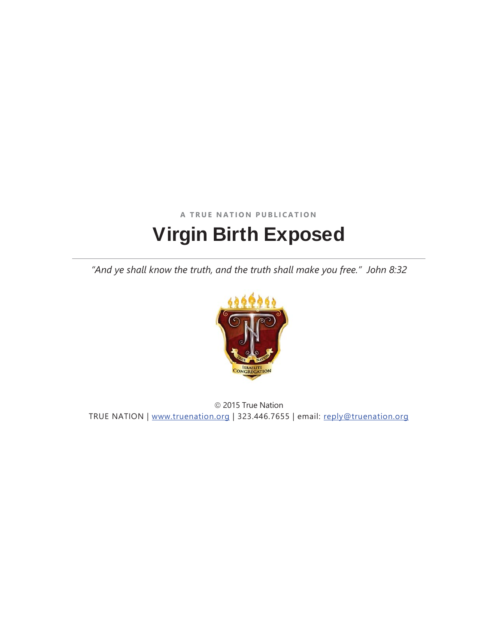# **A TRUE NATION PUBLICATION**  Virgin Birth Exposed

*"And ye shall know the truth, and the truth shall make you free." John 8:32* 



 $©$  2015 True Nation TRUE NATION | www.truenation.org | 323.446.7655 | email: reply@truenation.org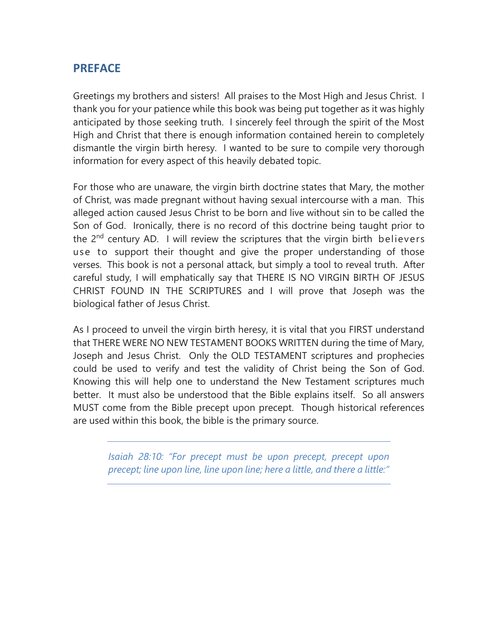# **PREFACE**

Greetings my brothers and sisters! All praises to the Most High and Jesus Christ. I thank you for your patience while this book was being put together as it was highly anticipated by those seeking truth. I sincerely feel through the spirit of the Most High and Christ that there is enough information contained herein to completely dismantle the virgin birth heresy. I wanted to be sure to compile very thorough information for every aspect of this heavily debated topic.

For those who are unaware, the virgin birth doctrine states that Mary, the mother of Christ, was made pregnant without having sexual intercourse with a man. This alleged action caused Jesus Christ to be born and live without sin to be called the Son of God. Ironically, there is no record of this doctrine being taught prior to the 2<sup>nd</sup> century AD. I will review the scriptures that the virgin birth believers use to support their thought and give the proper understanding of those verses. This book is not a personal attack, but simply a tool to reveal truth. After careful study, I will emphatically say that THERE IS NO VIRGIN BIRTH OF JESUS CHRIST FOUND IN THE SCRIPTURES and I will prove that Joseph was the biological father of Jesus Christ.

As I proceed to unveil the virgin birth heresy, it is vital that you FIRST understand that THERE WERE NO NEW TESTAMENT BOOKS WRITTEN during the time of Mary, Joseph and Jesus Christ. Only the OLD TESTAMENT scriptures and prophecies could be used to verify and test the validity of Christ being the Son of God. Knowing this will help one to understand the New Testament scriptures much better. It must also be understood that the Bible explains itself. So all answers MUST come from the Bible precept upon precept. Though historical references are used within this book, the bible is the primary source.

*Isaiah 28:10: "For precept must be upon precept, precept upon precept; line upon line, line upon line; here a little, and there a little:"*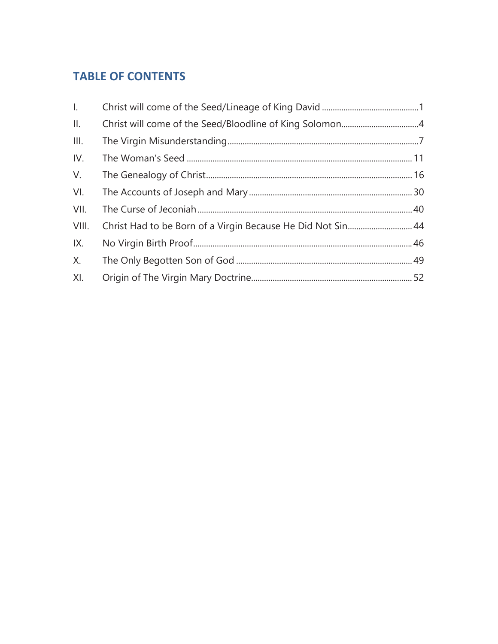# **TABLE OF CONTENTS**

| Christ Had to be Born of a Virgin Because He Did Not Sin 44 |  |
|-------------------------------------------------------------|--|
|                                                             |  |
|                                                             |  |
|                                                             |  |
|                                                             |  |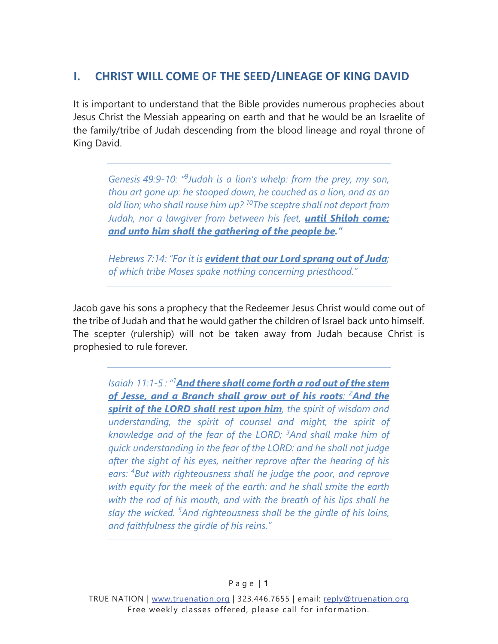# <span id="page-4-0"></span>**I. CHRIST WILL COME OF THE SEED/LINEAGE OF KING DAVID**

It is important to understand that the Bible provides numerous prophecies about Jesus Christ the Messiah appearing on earth and that he would be an Israelite of the family/tribe of Judah descending from the blood lineage and royal throne of King David.

*Genesis 49:9-10: "9 Judah is a lion's whelp: from the prey, my son, thou art gone up: he stooped down, he couched as a lion, and as an old lion; who shall rouse him up? 10The sceptre shall not depart from Judah, nor a lawgiver from between his feet, until Shiloh come; and unto him shall the gathering of the people be."*

*Hebrews 7:14: "For it is evident that our Lord sprang out of Juda; of which tribe Moses spake nothing concerning priesthood."* 

Jacob gave his sons a prophecy that the Redeemer Jesus Christ would come out of the tribe of Judah and that he would gather the children of Israel back unto himself. The scepter (rulership) will not be taken away from Judah because Christ is prophesied to rule forever.

*Isaiah 11:1-5 : "1 And there shall come forth a rod out of the stem of Jesse, and a Branch shall grow out of his roots: <sup>2</sup> And the spirit of the LORD shall rest upon him, the spirit of wisdom and understanding, the spirit of counsel and might, the spirit of knowledge and of the fear of the LORD; <sup>3</sup> And shall make him of quick understanding in the fear of the LORD: and he shall not judge after the sight of his eyes, neither reprove after the hearing of his ears: <sup>4</sup> But with righteousness shall he judge the poor, and reprove with equity for the meek of the earth: and he shall smite the earth with the rod of his mouth, and with the breath of his lips shall he slay the wicked. <sup>5</sup> And righteousness shall be the girdle of his loins, and faithfulness the girdle of his reins."*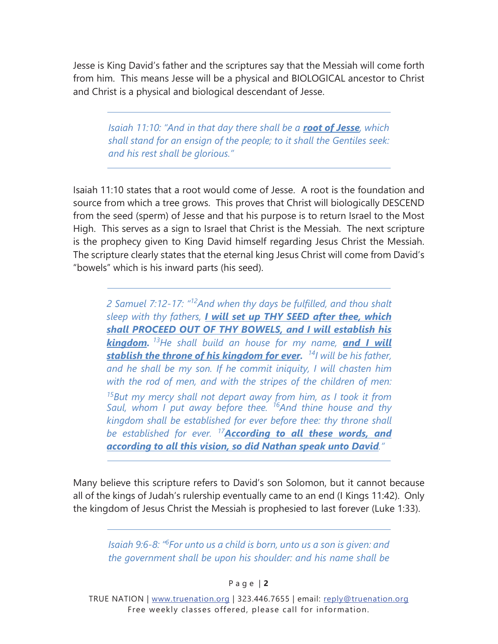Jesse is King David's father and the scriptures say that the Messiah will come forth from him. This means Jesse will be a physical and BIOLOGICAL ancestor to Christ and Christ is a physical and biological descendant of Jesse.

*Isaiah 11:10: "And in that day there shall be a root of Jesse, which shall stand for an ensign of the people; to it shall the Gentiles seek: and his rest shall be glorious."* 

Isaiah 11:10 states that a root would come of Jesse. A root is the foundation and source from which a tree grows. This proves that Christ will biologically DESCEND from the seed (sperm) of Jesse and that his purpose is to return Israel to the Most High. This serves as a sign to Israel that Christ is the Messiah. The next scripture is the prophecy given to King David himself regarding Jesus Christ the Messiah. The scripture clearly states that the eternal king Jesus Christ will come from David's "bowels" which is his inward parts (his seed).

*2 Samuel 7:12-17: "<sup>12</sup>And when thy days be fulfilled, and thou shalt sleep with thy fathers, I will set up THY SEED after thee, which shall PROCEED OUT OF THY BOWELS, and I will establish his kingdom. <sup>13</sup>He shall build an house for my name, and I will stablish the throne of his kingdom for ever. <sup>14</sup>I will be his father, and he shall be my son. If he commit iniquity, I will chasten him with the rod of men, and with the stripes of the children of men: <sup>15</sup>But my mercy shall not depart away from him, as I took it from Saul, whom I put away before thee. <sup>16</sup>And thine house and thy kingdom shall be established for ever before thee: thy throne shall be established for ever. <sup>17</sup>According to all these words, and according to all this vision, so did Nathan speak unto David."* 

Many believe this scripture refers to David's son Solomon, but it cannot because all of the kings of Judah's rulership eventually came to an end (I Kings 11:42). Only the kingdom of Jesus Christ the Messiah is prophesied to last forever (Luke 1:33).

*Isaiah 9:6-8: "6 For unto us a child is born, unto us a son is given: and the government shall be upon his shoulder: and his name shall be* 

P a g e | **2**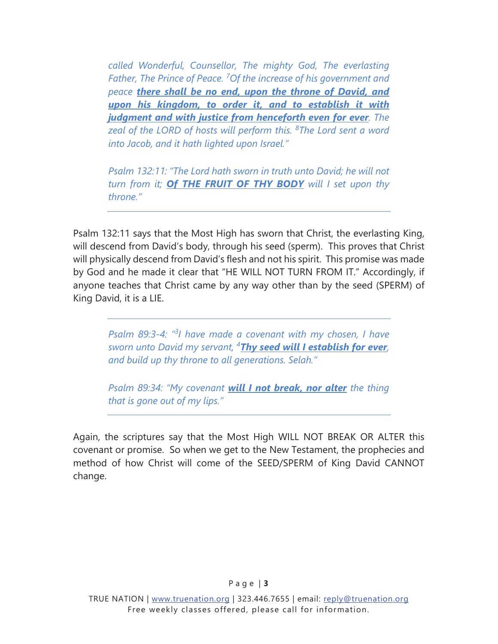*called Wonderful, Counsellor, The mighty God, The everlasting Father, The Prince of Peace. 7 Of the increase of his government and peace there shall be no end, upon the throne of David, and upon his kingdom, to order it, and to establish it with judgment and with justice from henceforth even for ever. The zeal of the LORD of hosts will perform this. <sup>8</sup> The Lord sent a word into Jacob, and it hath lighted upon Israel."* 

*Psalm 132:11: "The Lord hath sworn in truth unto David; he will not turn from it; Of THE FRUIT OF THY BODY will I set upon thy throne."* 

Psalm 132:11 says that the Most High has sworn that Christ, the everlasting King, will descend from David's body, through his seed (sperm). This proves that Christ will physically descend from David's flesh and not his spirit. This promise was made by God and he made it clear that "HE WILL NOT TURN FROM IT." Accordingly, if anyone teaches that Christ came by any way other than by the seed (SPERM) of King David, it is a LIE.

*Psalm 89:3-4: "3 I have made a covenant with my chosen, I have sworn unto David my servant, 4 Thy seed will I establish for ever, and build up thy throne to all generations. Selah."* 

*Psalm 89:34: "My covenant will I not break, nor alter the thing that is gone out of my lips."* 

Again, the scriptures say that the Most High WILL NOT BREAK OR ALTER this covenant or promise. So when we get to the New Testament, the prophecies and method of how Christ will come of the SEED/SPERM of King David CANNOT change.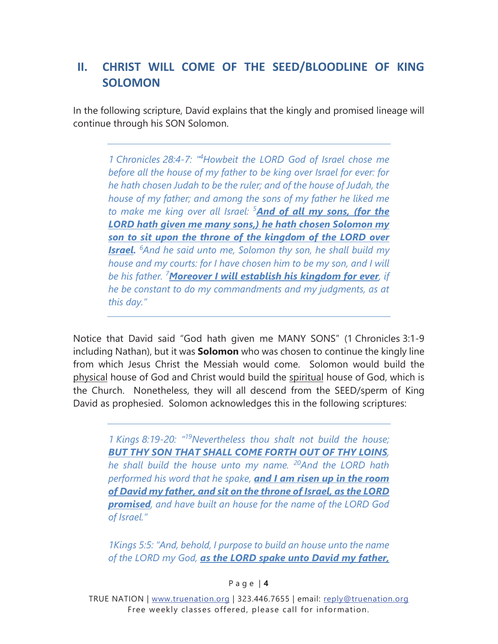# <span id="page-7-0"></span>**II. CHRIST WILL COME OF THE SEED/BLOODLINE OF KING SOLOMON**

In the following scripture, David explains that the kingly and promised lineage will continue through his SON Solomon.

*1 Chronicles 28:4-7: "4 Howbeit the LORD God of Israel chose me before all the house of my father to be king over Israel for ever: for he hath chosen Judah to be the ruler; and of the house of Judah, the house of my father; and among the sons of my father he liked me to make me king over all Israel: <sup>5</sup> And of all my sons, (for the LORD hath given me many sons,) he hath chosen Solomon my son to sit upon the throne of the kingdom of the LORD over Israel. <sup>6</sup> And he said unto me, Solomon thy son, he shall build my house and my courts: for I have chosen him to be my son, and I will be his father. <sup>7</sup> Moreover I will establish his kingdom for ever, if he be constant to do my commandments and my judgments, as at this day."* 

Notice that David said "God hath given me MANY SONS" (1 Chronicles 3:1-9 including Nathan), but it was **Solomon** who was chosen to continue the kingly line from which Jesus Christ the Messiah would come. Solomon would build the physical house of God and Christ would build the spiritual house of God, which is the Church. Nonetheless, they will all descend from the SEED/sperm of King David as prophesied. Solomon acknowledges this in the following scriptures:

*1 Kings 8:19-20: "19Nevertheless thou shalt not build the house; BUT THY SON THAT SHALL COME FORTH OUT OF THY LOINS, he shall build the house unto my name. 20And the LORD hath performed his word that he spake, and I am risen up in the room of David my father, and sit on the throne of Israel, as the LORD promised, and have built an house for the name of the LORD God of Israel."* 

*1Kings 5:5: "And, behold, I purpose to build an house unto the name of the LORD my God, as the LORD spake unto David my father,* 

#### P a g e | **4**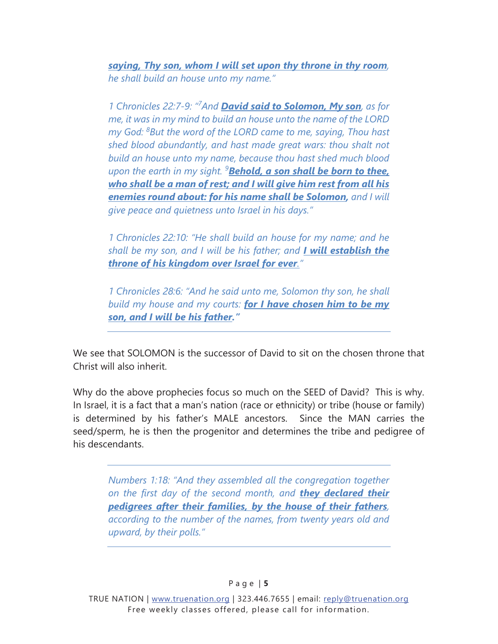*saying, Thy son, whom I will set upon thy throne in thy room, he shall build an house unto my name."* 

*1 Chronicles 22:7-9: "7 And David said to Solomon, My son, as for me, it was in my mind to build an house unto the name of the LORD my God: <sup>8</sup> But the word of the LORD came to me, saying, Thou hast shed blood abundantly, and hast made great wars: thou shalt not build an house unto my name, because thou hast shed much blood upon the earth in my sight. <sup>9</sup> Behold, a son shall be born to thee, who shall be a man of rest; and I will give him rest from all his enemies round about: for his name shall be Solomon, and I will give peace and quietness unto Israel in his days."* 

*1 Chronicles 22:10: "He shall build an house for my name; and he shall be my son, and I will be his father; and I will establish the throne of his kingdom over Israel for ever."* 

*1 Chronicles 28:6: "And he said unto me, Solomon thy son, he shall build my house and my courts: for I have chosen him to be my son, and I will be his father."*

We see that SOLOMON is the successor of David to sit on the chosen throne that Christ will also inherit.

Why do the above prophecies focus so much on the SEED of David? This is why. In Israel, it is a fact that a man's nation (race or ethnicity) or tribe (house or family) is determined by his father's MALE ancestors. Since the MAN carries the seed/sperm, he is then the progenitor and determines the tribe and pedigree of his descendants.

*Numbers 1:18: "And they assembled all the congregation together on the first day of the second month, and they declared their pedigrees after their families, by the house of their fathers, according to the number of the names, from twenty years old and upward, by their polls."*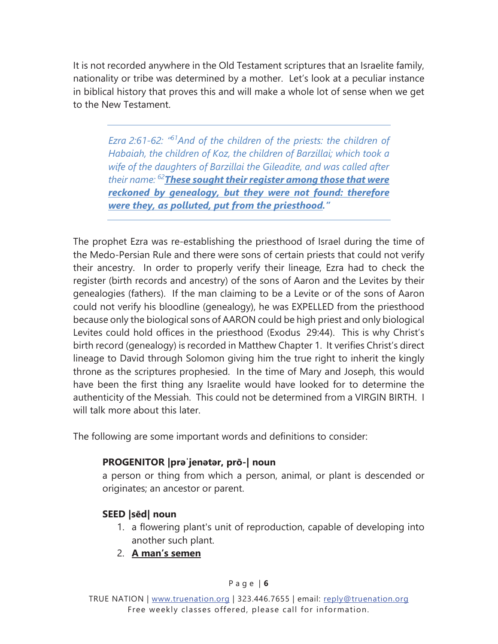It is not recorded anywhere in the Old Testament scriptures that an Israelite family, nationality or tribe was determined by a mother. Let's look at a peculiar instance in biblical history that proves this and will make a whole lot of sense when we get to the New Testament.

*Ezra 2:61-62: "61And of the children of the priests: the children of Habaiah, the children of Koz, the children of Barzillai; which took a wife of the daughters of Barzillai the Gileadite, and was called after their name: 62These sought their register among those that were reckoned by genealogy, but they were not found: therefore were they, as polluted, put from the priesthood."* 

The prophet Ezra was re-establishing the priesthood of Israel during the time of the Medo-Persian Rule and there were sons of certain priests that could not verify their ancestry. In order to properly verify their lineage, Ezra had to check the register (birth records and ancestry) of the sons of Aaron and the Levites by their genealogies (fathers). If the man claiming to be a Levite or of the sons of Aaron could not verify his bloodline (genealogy), he was EXPELLED from the priesthood because only the biological sons of AARON could be high priest and only biological Levites could hold offices in the priesthood (Exodus 29:44). This is why Christ's birth record (genealogy) is recorded in Matthew Chapter 1. It verifies Christ's direct lineage to David through Solomon giving him the true right to inherit the kingly throne as the scriptures prophesied. In the time of Mary and Joseph, this would have been the first thing any Israelite would have looked for to determine the authenticity of the Messiah. This could not be determined from a VIRGIN BIRTH. I will talk more about this later.

The following are some important words and definitions to consider:

#### **PROGENITOR | praijenatar, prō-| noun**

a person or thing from which a person, animal, or plant is descended or originates; an ancestor or parent.

#### **SEED |sēd| noun**

- 1. a flowering plant's unit of reproduction, capable of developing into another such plant.
- 2. **A man's semen**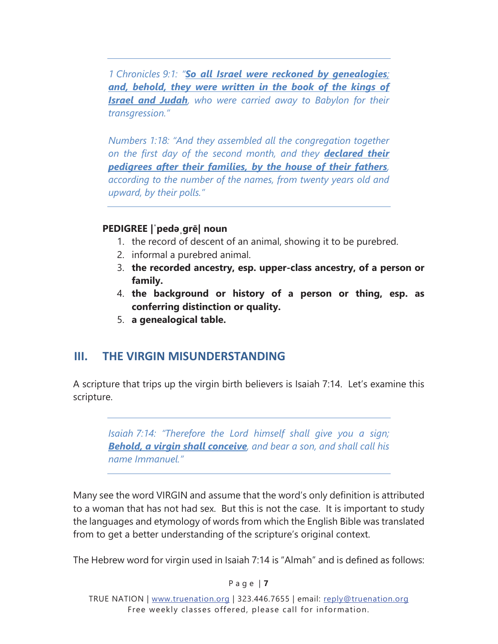<span id="page-10-0"></span>*1 Chronicles 9:1: "So all Israel were reckoned by genealogies; and, behold, they were written in the book of the kings of Israel and Judah, who were carried away to Babylon for their transgression."* 

*Numbers 1:18: "And they assembled all the congregation together on the first day of the second month, and they declared their pedigrees after their families, by the house of their fathers, according to the number of the names, from twenty years old and upward, by their polls."* 

#### **PEDIGREE | peda grē| noun**

- 1. the record of descent of an animal, showing it to be purebred.
- 2. informal a purebred animal.
- 3. **the recorded ancestry, esp. upper-class ancestry, of a person or** family.
- 4. **the background or history of a person or thing, esp. as** conferring distinction or quality.
- 5. **a genealogical table.**

#### **III. THE VIRGIN MISUNDERSTANDING**

A scripture that trips up the virgin birth believers is Isaiah 7:14. Let's examine this scripture.

*Isaiah 7:14: "Therefore the Lord himself shall give you a sign; Behold, a virgin shall conceive, and bear a son, and shall call his name Immanuel."* 

Many see the word VIRGIN and assume that the word's only definition is attributed to a woman that has not had sex. But this is not the case. It is important to study the languages and etymology of words from which the English Bible was translated from to get a better understanding of the scripture's original context.

The Hebrew word for virgin used in Isaiah 7:14 is "Almah" and is defined as follows:

#### P a g e | **7**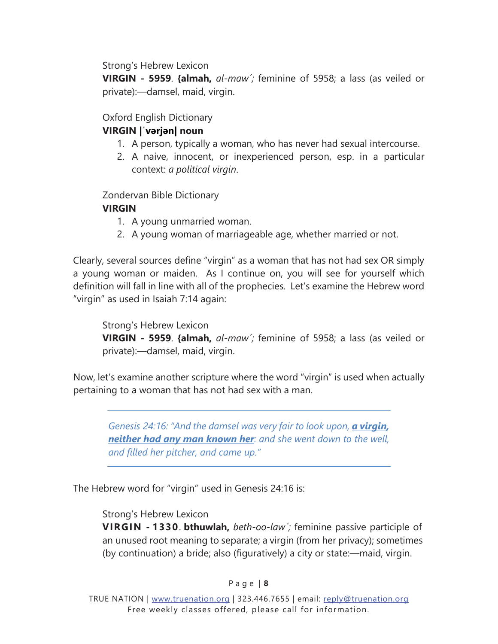<span id="page-11-0"></span>Strong's Hebrew Lexicon

**VIRGIN - 5959**. **{almah,** *al-maw´;* feminine of 5958; a lass (as veiled or private):—damsel, maid, virgin.

#### Oxford English Dictionary

#### **VIRGIN** | varjan| noun

- 1. A person, typically a woman, who has never had sexual intercourse.
- 2. A naive, innocent, or inexperienced person, esp. in a particular context: *a political virgin*.

Zondervan Bible Dictionary

#### **VIRGIN**

- 1. A young unmarried woman.
- 2. A young woman of marriageable age, whether married or not.

Clearly, several sources define "virgin" as a woman that has not had sex OR simply a young woman or maiden. As I continue on, you will see for yourself which definition will fall in line with all of the prophecies. Let's examine the Hebrew word "virgin" as used in Isaiah 7:14 again:

Strong's Hebrew Lexicon **VIRGIN - 5959**. **{almah,** *al-maw´;* feminine of 5958; a lass (as veiled or private):—damsel, maid, virgin.

Now, let's examine another scripture where the word "virgin" is used when actually pertaining to a woman that has not had sex with a man.

*Genesis 24:16: "And the damsel was very fair to look upon, a virgin, neither had any man known her: and she went down to the well, and filled her pitcher, and came up."* 

The Hebrew word for "virgin" used in Genesis 24:16 is:

Strong's Hebrew Lexicon

**VIRGIN - 1330**. **bthuwlah,** *beth-oo-law´;* feminine passive participle of an unused root meaning to separate; a virgin (from her privacy); sometimes (by continuation) a bride; also (figuratively) a city or state:—maid, virgin.

#### P a g e | **8**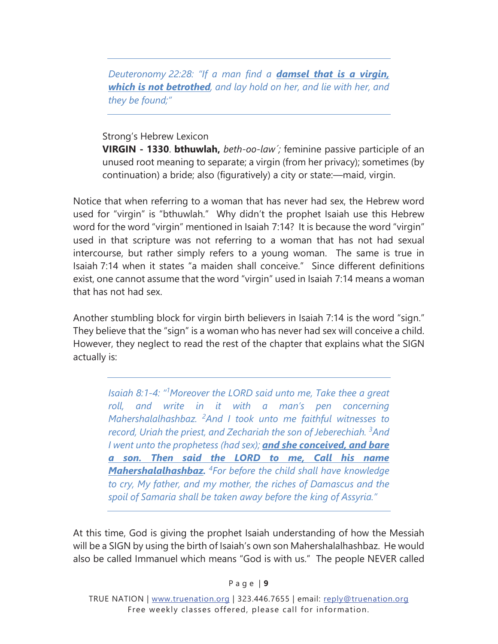*Deuteronomy 22:28: "If a man find a damsel that is a virgin, which is not betrothed, and lay hold on her, and lie with her, and they be found;"* 

#### Strong's Hebrew Lexicon

**VIRGIN - 1330**. **bthuwlah,** *beth-oo-law´;* feminine passive participle of an unused root meaning to separate; a virgin (from her privacy); sometimes (by continuation) a bride; also (figuratively) a city or state:—maid, virgin.

Notice that when referring to a woman that has never had sex, the Hebrew word used for "virgin" is "bthuwlah." Why didn't the prophet Isaiah use this Hebrew word for the word "virgin" mentioned in Isaiah 7:14? It is because the word "virgin" used in that scripture was not referring to a woman that has not had sexual intercourse, but rather simply refers to a young woman. The same is true in Isaiah 7:14 when it states "a maiden shall conceive." Since different definitions exist, one cannot assume that the word "virgin" used in Isaiah 7:14 means a woman that has not had sex.

Another stumbling block for virgin birth believers in Isaiah 7:14 is the word "sign." They believe that the "sign" is a woman who has never had sex will conceive a child. However, they neglect to read the rest of the chapter that explains what the SIGN actually is:

*Isaiah 8:1-4: "1 Moreover the LORD said unto me, Take thee a great roll, and write in it with a man's pen concerning Mahershalalhashbaz. <sup>2</sup> And I took unto me faithful witnesses to record, Uriah the priest, and Zechariah the son of Jeberechiah. 3 And I went unto the prophetess (had sex); and she conceived, and bare a son. Then said the LORD to me, Call his name Mahershalalhashbaz. <sup>4</sup> For before the child shall have knowledge to cry, My father, and my mother, the riches of Damascus and the spoil of Samaria shall be taken away before the king of Assyria."* 

At this time, God is giving the prophet Isaiah understanding of how the Messiah will be a SIGN by using the birth of Isaiah's own son Mahershalalhashbaz. He would also be called Immanuel which means "God is with us." The people NEVER called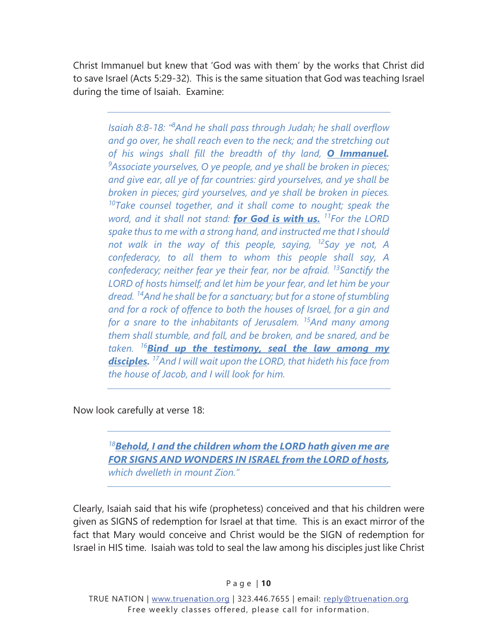Christ Immanuel but knew that 'God was with them' by the works that Christ did to save Israel (Acts 5:29-32). This is the same situation that God was teaching Israel during the time of Isaiah. Examine:

*Isaiah 8:8-18: "8 And he shall pass through Judah; he shall overflow and go over, he shall reach even to the neck; and the stretching out of his wings shall fill the breadth of thy land, O Immanuel. 9 Associate yourselves, O ye people, and ye shall be broken in pieces; and give ear, all ye of far countries: gird yourselves, and ye shall be broken in pieces; gird yourselves, and ye shall be broken in pieces. 10Take counsel together, and it shall come to nought; speak the word, and it shall not stand: for God is with us. 11For the LORD spake thus to me with a strong hand, and instructed me that I should not walk in the way of this people, saying, 12Say ye not, A confederacy, to all them to whom this people shall say, A confederacy; neither fear ye their fear, nor be afraid. 13Sanctify the LORD of hosts himself; and let him be your fear, and let him be your dread. 14And he shall be for a sanctuary; but for a stone of stumbling and for a rock of offence to both the houses of Israel, for a gin and for a snare to the inhabitants of Jerusalem. 15And many among them shall stumble, and fall, and be broken, and be snared, and be taken. <sup>16</sup>Bind up the testimony, seal the law among my disciples. 17And I will wait upon the LORD, that hideth his face from the house of Jacob, and I will look for him.* 

Now look carefully at verse 18:

*<sup>18</sup>Behold, I and the children whom the LORD hath given me are FOR SIGNS AND WONDERS IN ISRAEL from the LORD of hosts, which dwelleth in mount Zion."* 

Clearly, Isaiah said that his wife (prophetess) conceived and that his children were given as SIGNS of redemption for Israel at that time. This is an exact mirror of the fact that Mary would conceive and Christ would be the SIGN of redemption for Israel in HIS time. Isaiah was told to seal the law among his disciples just like Christ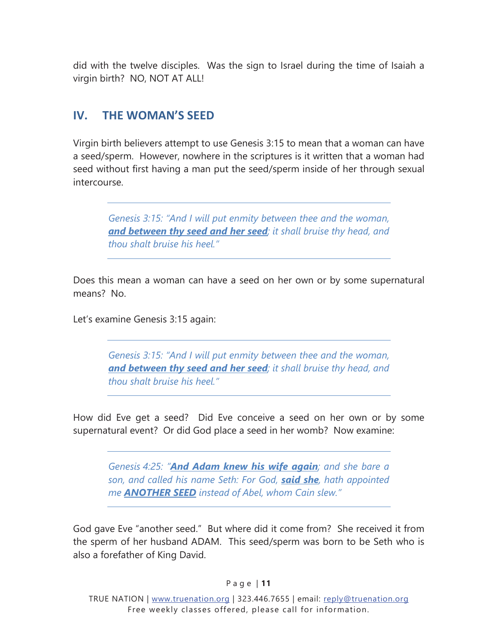<span id="page-14-0"></span>did with the twelve disciples. Was the sign to Israel during the time of Isaiah a virgin birth? NO, NOT AT ALL!

# **IV. THE WOMAN'S SEED**

Virgin birth believers attempt to use Genesis 3:15 to mean that a woman can have a seed/sperm. However, nowhere in the scriptures is it written that a woman had seed without first having a man put the seed/sperm inside of her through sexual intercourse.

*Genesis 3:15: "And I will put enmity between thee and the woman, and between thy seed and her seed; it shall bruise thy head, and thou shalt bruise his heel."* 

Does this mean a woman can have a seed on her own or by some supernatural means? No.

Let's examine Genesis 3:15 again:

*Genesis 3:15: "And I will put enmity between thee and the woman, and between thy seed and her seed; it shall bruise thy head, and thou shalt bruise his heel."* 

How did Eve get a seed? Did Eve conceive a seed on her own or by some supernatural event? Or did God place a seed in her womb? Now examine:

*Genesis 4:25: "And Adam knew his wife again; and she bare a son, and called his name Seth: For God, said she, hath appointed me ANOTHER SEED instead of Abel, whom Cain slew."* 

God gave Eve "another seed." But where did it come from? She received it from the sperm of her husband ADAM. This seed/sperm was born to be Seth who is also a forefather of King David.

P a g e | **11**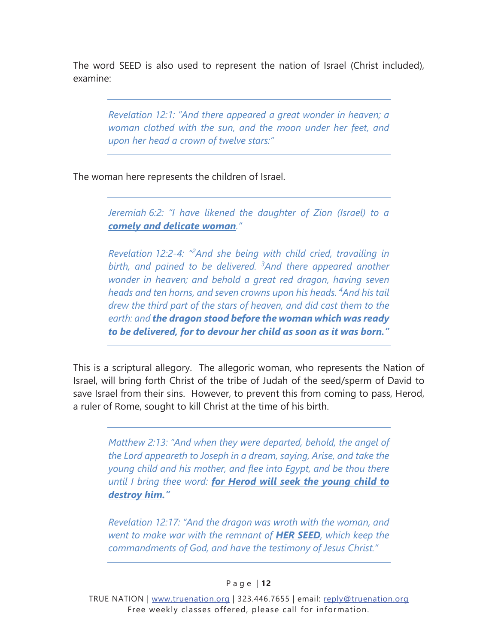The word SEED is also used to represent the nation of Israel (Christ included), examine:

*Revelation 12:1: "And there appeared a great wonder in heaven; a woman clothed with the sun, and the moon under her feet, and upon her head a crown of twelve stars:"* 

The woman here represents the children of Israel.

*Jeremiah 6:2: "I have likened the daughter of Zion (Israel) to a comely and delicate woman."* 

*Revelation 12:2-4: "2 And she being with child cried, travailing in birth, and pained to be delivered. <sup>3</sup> And there appeared another wonder in heaven; and behold a great red dragon, having seven heads and ten horns, and seven crowns upon his heads. 4 And his tail drew the third part of the stars of heaven, and did cast them to the earth: and the dragon stood before the woman which was ready to be delivered, for to devour her child as soon as it was born."*

This is a scriptural allegory. The allegoric woman, who represents the Nation of Israel, will bring forth Christ of the tribe of Judah of the seed/sperm of David to save Israel from their sins. However, to prevent this from coming to pass, Herod, a ruler of Rome, sought to kill Christ at the time of his birth.

*Matthew 2:13: "And when they were departed, behold, the angel of the Lord appeareth to Joseph in a dream, saying, Arise, and take the young child and his mother, and flee into Egypt, and be thou there until I bring thee word: for Herod will seek the young child to destroy him."*

*Revelation 12:17: "And the dragon was wroth with the woman, and went to make war with the remnant of HER SEED, which keep the commandments of God, and have the testimony of Jesus Christ."*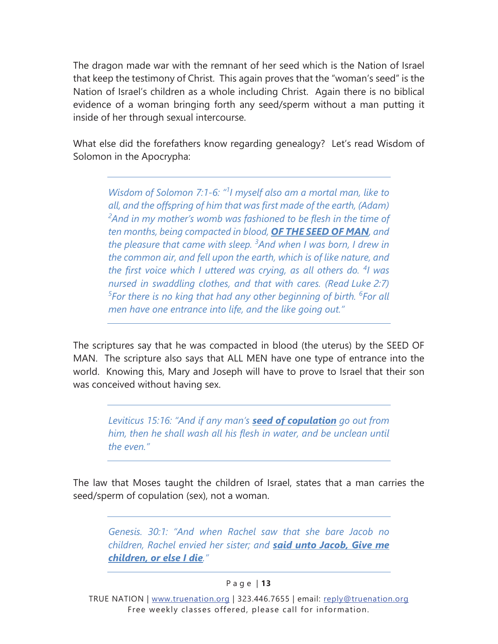The dragon made war with the remnant of her seed which is the Nation of Israel that keep the testimony of Christ. This again proves that the "woman's seed" is the Nation of Israel's children as a whole including Christ. Again there is no biblical evidence of a woman bringing forth any seed/sperm without a man putting it inside of her through sexual intercourse.

What else did the forefathers know regarding genealogy? Let's read Wisdom of Solomon in the Apocrypha:

*Wisdom of Solomon 7:1-6: "1 I myself also am a mortal man, like to all, and the offspring of him that was first made of the earth, (Adam) 2 And in my mother's womb was fashioned to be flesh in the time of ten months, being compacted in blood, OF THE SEED OF MAN, and the pleasure that came with sleep. 3 And when I was born, I drew in the common air, and fell upon the earth, which is of like nature, and*  the first voice which I uttered was crying, as all others do. <sup>4</sup>I was *nursed in swaddling clothes, and that with cares. (Read Luke 2:7) 5 For there is no king that had any other beginning of birth. <sup>6</sup> For all men have one entrance into life, and the like going out."* 

The scriptures say that he was compacted in blood (the uterus) by the SEED OF MAN. The scripture also says that ALL MEN have one type of entrance into the world. Knowing this, Mary and Joseph will have to prove to Israel that their son was conceived without having sex.

*Leviticus 15:16: "And if any man's seed of copulation go out from him, then he shall wash all his flesh in water, and be unclean until the even."* 

The law that Moses taught the children of Israel, states that a man carries the seed/sperm of copulation (sex), not a woman.

*Genesis. 30:1: "And when Rachel saw that she bare Jacob no children, Rachel envied her sister; and said unto Jacob, Give me children, or else I die."* 

#### P a g e | **13**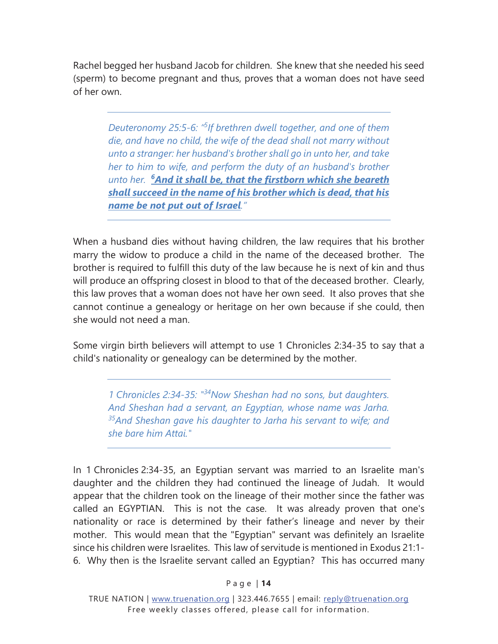Rachel begged her husband Jacob for children. She knew that she needed his seed (sperm) to become pregnant and thus, proves that a woman does not have seed of her own.

*Deuteronomy 25:5-6: "5 If brethren dwell together, and one of them die, and have no child, the wife of the dead shall not marry without unto a stranger: her husband's brother shall go in unto her, and take her to him to wife, and perform the duty of an husband's brother unto her. 6And it shall be, that the firstborn which she beareth shall succeed in the name of his brother which is dead, that his name be not put out of Israel."*

When a husband dies without having children, the law requires that his brother marry the widow to produce a child in the name of the deceased brother. The brother is required to fulfill this duty of the law because he is next of kin and thus will produce an offspring closest in blood to that of the deceased brother. Clearly, this law proves that a woman does not have her own seed. It also proves that she cannot continue a genealogy or heritage on her own because if she could, then she would not need a man.

Some virgin birth believers will attempt to use 1 Chronicles 2:34-35 to say that a child's nationality or genealogy can be determined by the mother.

*1 Chronicles 2:34-35: "34Now Sheshan had no sons, but daughters. And Sheshan had a servant, an Egyptian, whose name was Jarha. 35And Sheshan gave his daughter to Jarha his servant to wife; and she bare him Attai."* 

In 1 Chronicles 2:34-35, an Egyptian servant was married to an Israelite man's daughter and the children they had continued the lineage of Judah. It would appear that the children took on the lineage of their mother since the father was called an EGYPTIAN. This is not the case. It was already proven that one's nationality or race is determined by their father's lineage and never by their mother. This would mean that the "Egyptian" servant was definitely an Israelite since his children were Israelites. This law of servitude is mentioned in Exodus 21:1- 6. Why then is the Israelite servant called an Egyptian? This has occurred many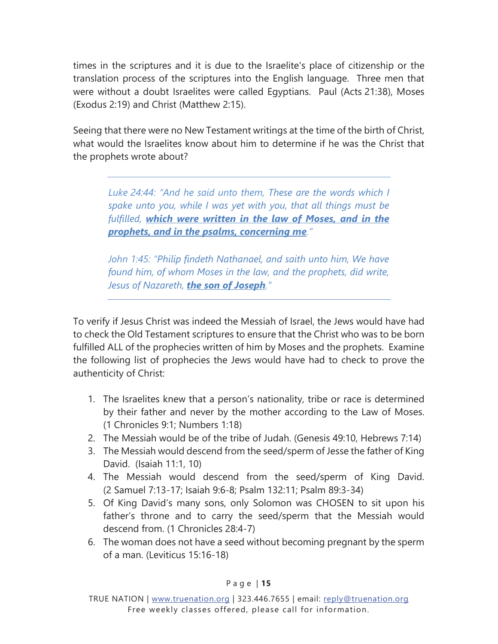times in the scriptures and it is due to the Israelite's place of citizenship or the translation process of the scriptures into the English language. Three men that were without a doubt Israelites were called Egyptians. Paul (Acts 21:38), Moses (Exodus 2:19) and Christ (Matthew 2:15).

Seeing that there were no New Testament writings at the time of the birth of Christ, what would the Israelites know about him to determine if he was the Christ that the prophets wrote about?

Luke 24:44: "And he said unto them. These are the words which I *spake unto you, while I was yet with you, that all things must be fulfilled, which were written in the law of Moses, and in the prophets, and in the psalms, concerning me."* 

*John 1:45: "Philip findeth Nathanael, and saith unto him, We have found him, of whom Moses in the law, and the prophets, did write, Jesus of Nazareth, the son of Joseph."*

To verify if Jesus Christ was indeed the Messiah of Israel, the Jews would have had to check the Old Testament scriptures to ensure that the Christ who was to be born fulfilled ALL of the prophecies written of him by Moses and the prophets. Examine the following list of prophecies the Jews would have had to check to prove the authenticity of Christ:

- 1. The Israelites knew that a person's nationality, tribe or race is determined by their father and never by the mother according to the Law of Moses. (1 Chronicles 9:1; Numbers 1:18)
- 2. The Messiah would be of the tribe of Judah. (Genesis 49:10, Hebrews 7:14)
- 3. The Messiah would descend from the seed/sperm of Jesse the father of King David. (Isaiah 11:1, 10)
- 4. The Messiah would descend from the seed/sperm of King David. (2 Samuel 7:13-17; Isaiah 9:6-8; Psalm 132:11; Psalm 89:3-34)
- 5. Of King David's many sons, only Solomon was CHOSEN to sit upon his father's throne and to carry the seed/sperm that the Messiah would descend from. (1 Chronicles 28:4-7)
- 6. The woman does not have a seed without becoming pregnant by the sperm of a man. (Leviticus 15:16-18)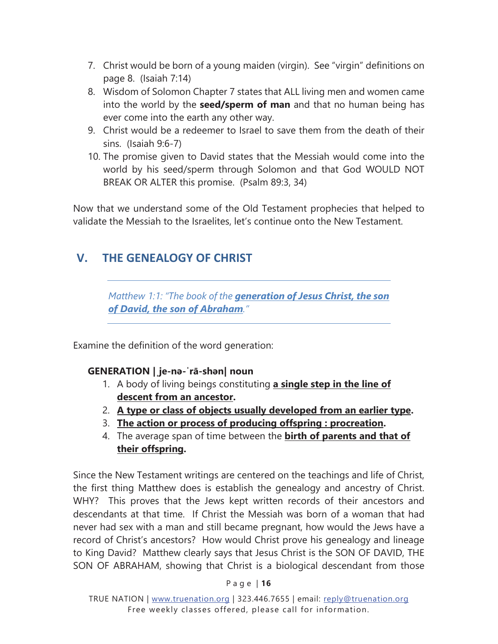- <span id="page-19-0"></span>7. Christ would be born of a young maiden (virgin). See "virgin" definitions on [page 8.](#page-11-0) (Isaiah 7:14)
- 8. Wisdom of Solomon Chapter 7 states that ALL living men and women came into the world by the **seed/sperm of man** and that no human being has ever come into the earth any other way.
- 9. Christ would be a redeemer to Israel to save them from the death of their sins. (Isaiah 9:6-7)
- 10. The promise given to David states that the Messiah would come into the world by his seed/sperm through Solomon and that God WOULD NOT BREAK OR ALTER this promise. (Psalm 89:3, 34)

Now that we understand some of the Old Testament prophecies that helped to validate the Messiah to the Israelites, let's continue onto the New Testament.

# **V. THE GENEALOGY OF CHRIST**

*Matthew 1:1: "The book of the generation of Jesus Christ, the son of David, the son of Abraham."* 

Examine the definition of the word generation:

#### **GENERATION | je-na-'rā-shan| noun**

- 1. A body of living beings constituting a single step in the line of descent from an ancestor.
- 2. A type or class of objects usually developed from an earlier type.
- 3. **The action or process of producing offspring: procreation.**
- 4. The average span of time between the **birth of parents and that of** their offspring.

Since the New Testament writings are centered on the teachings and life of Christ, the first thing Matthew does is establish the genealogy and ancestry of Christ. WHY? This proves that the Jews kept written records of their ancestors and descendants at that time. If Christ the Messiah was born of a woman that had never had sex with a man and still became pregnant, how would the Jews have a record of Christ's ancestors? How would Christ prove his genealogy and lineage to King David? Matthew clearly says that Jesus Christ is the SON OF DAVID, THE SON OF ABRAHAM, showing that Christ is a biological descendant from those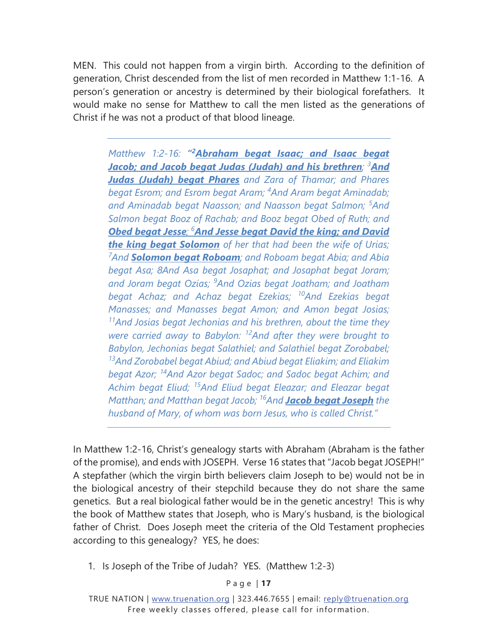MEN. This could not happen from a virgin birth. According to the definition of generation, Christ descended from the list of men recorded in Matthew 1:1-16. A person's generation or ancestry is determined by their biological forefathers. It would make no sense for Matthew to call the men listed as the generations of Christ if he was not a product of that blood lineage.

*Matthew 1:2-16: "2Abraham begat Isaac; and Isaac begat Jacob; and Jacob begat Judas (Judah) and his brethren; <sup>3</sup> And Judas (Judah) begat Phares and Zara of Thamar; and Phares begat Esrom; and Esrom begat Aram; <sup>4</sup> And Aram begat Aminadab; and Aminadab begat Naasson; and Naasson begat Salmon; <sup>5</sup> And Salmon begat Booz of Rachab; and Booz begat Obed of Ruth; and*  **Obed begat Jesse**;  $^6$ And Jesse begat David the king; and David *the king begat Solomon of her that had been the wife of Urias; 7 And Solomon begat Roboam; and Roboam begat Abia; and Abia begat Asa; 8And Asa begat Josaphat; and Josaphat begat Joram; and Joram begat Ozias; <sup>9</sup> And Ozias begat Joatham; and Joatham begat Achaz; and Achaz begat Ezekias; 10And Ezekias begat Manasses; and Manasses begat Amon; and Amon begat Josias; 11And Josias begat Jechonias and his brethren, about the time they were carried away to Babylon: 12And after they were brought to Babylon, Jechonias begat Salathiel; and Salathiel begat Zorobabel; 13And Zorobabel begat Abiud; and Abiud begat Eliakim; and Eliakim begat Azor; 14And Azor begat Sadoc; and Sadoc begat Achim; and Achim begat Eliud; 15And Eliud begat Eleazar; and Eleazar begat Matthan; and Matthan begat Jacob; 16And Jacob begat Joseph the husband of Mary, of whom was born Jesus, who is called Christ."* 

In Matthew 1:2-16, Christ's genealogy starts with Abraham (Abraham is the father of the promise), and ends with JOSEPH. Verse 16 states that "Jacob begat JOSEPH!" A stepfather (which the virgin birth believers claim Joseph to be) would not be in the biological ancestry of their stepchild because they do not share the same genetics. But a real biological father would be in the genetic ancestry! This is why the book of Matthew states that Joseph, who is Mary's husband, is the biological father of Christ. Does Joseph meet the criteria of the Old Testament prophecies according to this genealogy? YES, he does:

1. Is Joseph of the Tribe of Judah? YES. (Matthew 1:2-3)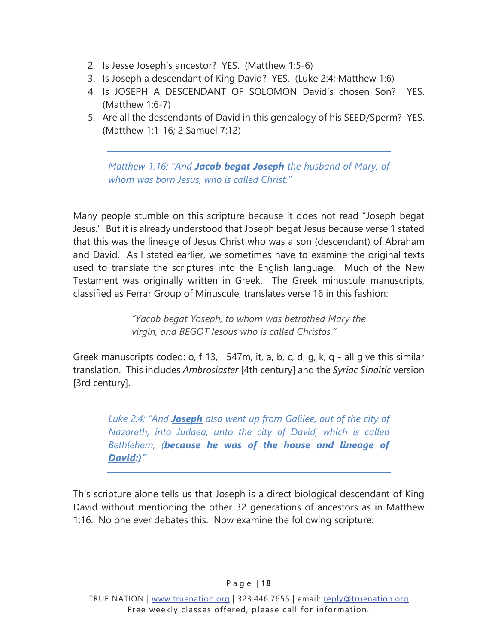- 2. Is Jesse Joseph's ancestor? YES. (Matthew 1:5-6)
- 3. Is Joseph a descendant of King David? YES. (Luke 2:4; Matthew 1:6)
- 4. Is JOSEPH A DESCENDANT OF SOLOMON David's chosen Son? YES. (Matthew 1:6-7)
- 5. Are all the descendants of David in this genealogy of his SEED/Sperm? YES. (Matthew 1:1-16; 2 Samuel 7:12)

*Matthew 1:16: "And Jacob begat Joseph the husband of Mary, of whom was born Jesus, who is called Christ."* 

Many people stumble on this scripture because it does not read "Joseph begat Jesus." But it is already understood that Joseph begat Jesus because verse 1 stated that this was the lineage of Jesus Christ who was a son (descendant) of Abraham and David. As I stated earlier, we sometimes have to examine the original texts used to translate the scriptures into the English language. Much of the New Testament was originally written in Greek. The Greek minuscule manuscripts, classified as Ferrar Group of Minuscule, translates verse 16 in this fashion:

> *"Yacob begat Yoseph, to whom was betrothed Mary the virgin, and BEGOT Iesous who is called Christos."*

Greek manuscripts coded: o, f 13, I 547m, it, a, b, c, d, g, k, q - all give this similar translation. This includes *Ambrosiaster* [4th century] and the *Syriac Sinaitic* version [3rd century].

*Luke 2:4: "And Joseph also went up from Galilee, out of the city of Nazareth, into Judaea, unto the city of David, which is called Bethlehem; (because he was of the house and lineage of David:)"* 

This scripture alone tells us that Joseph is a direct biological descendant of King David without mentioning the other 32 generations of ancestors as in Matthew 1:16. No one ever debates this. Now examine the following scripture: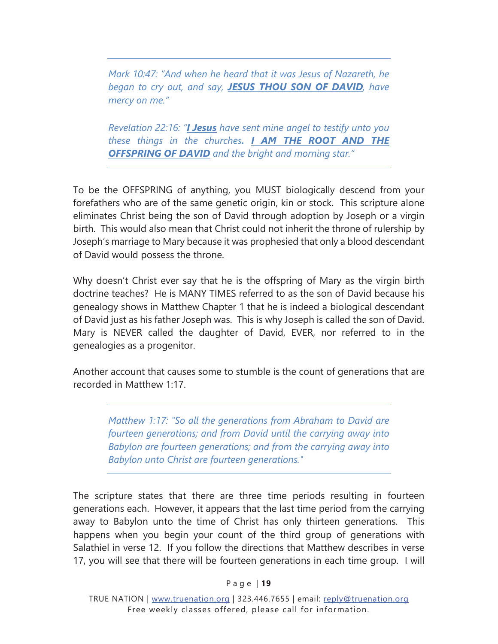*Mark 10:47: "And when he heard that it was Jesus of Nazareth, he began to cry out, and say, JESUS THOU SON OF DAVID, have mercy on me."* 

*Revelation 22:16: "I Jesus have sent mine angel to testify unto you these things in the churches. I AM THE ROOT AND THE OFFSPRING OF DAVID and the bright and morning star."* 

To be the OFFSPRING of anything, you MUST biologically descend from your forefathers who are of the same genetic origin, kin or stock. This scripture alone eliminates Christ being the son of David through adoption by Joseph or a virgin birth. This would also mean that Christ could not inherit the throne of rulership by Joseph's marriage to Mary because it was prophesied that only a blood descendant of David would possess the throne.

Why doesn't Christ ever say that he is the offspring of Mary as the virgin birth doctrine teaches? He is MANY TIMES referred to as the son of David because his genealogy shows in Matthew Chapter 1 that he is indeed a biological descendant of David just as his father Joseph was. This is why Joseph is called the son of David. Mary is NEVER called the daughter of David, EVER, nor referred to in the genealogies as a progenitor.

Another account that causes some to stumble is the count of generations that are recorded in Matthew 1:17.

*Matthew 1:17: "So all the generations from Abraham to David are fourteen generations; and from David until the carrying away into Babylon are fourteen generations; and from the carrying away into Babylon unto Christ are fourteen generations."* 

The scripture states that there are three time periods resulting in fourteen generations each. However, it appears that the last time period from the carrying away to Babylon unto the time of Christ has only thirteen generations. This happens when you begin your count of the third group of generations with Salathiel in verse 12. If you follow the directions that Matthew describes in verse 17, you will see that there will be fourteen generations in each time group. I will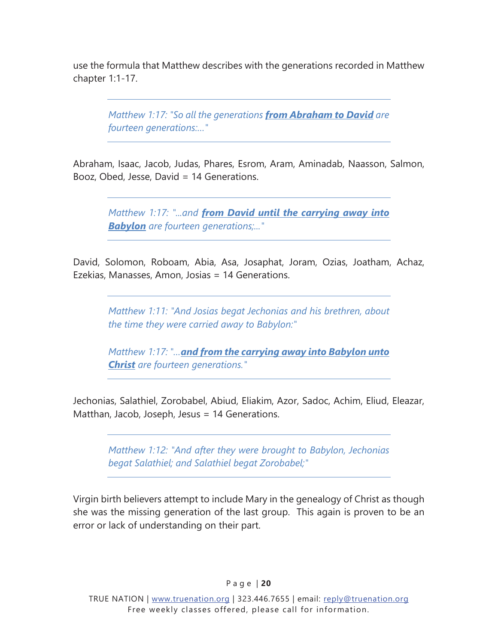use the formula that Matthew describes with the generations recorded in Matthew chapter 1:1-17.

*Matthew 1:17: "So all the generations from Abraham to David are fourteen generations:…"* 

Abraham, Isaac, Jacob, Judas, Phares, Esrom, Aram, Aminadab, Naasson, Salmon, Booz, Obed, Jesse, David = 14 Generations.

*Matthew 1:17: "...and from David until the carrying away into Babylon are fourteen generations;..."* 

David, Solomon, Roboam, Abia, Asa, Josaphat, Joram, Ozias, Joatham, Achaz, Ezekias, Manasses, Amon, Josias = 14 Generations.

*Matthew 1:11: "And Josias begat Jechonias and his brethren, about the time they were carried away to Babylon:"* 

*Matthew 1:17: "…and from the carrying away into Babylon unto Christ are fourteen generations."* 

Jechonias, Salathiel, Zorobabel, Abiud, Eliakim, Azor, Sadoc, Achim, Eliud, Eleazar, Matthan, Jacob, Joseph, Jesus = 14 Generations.

*Matthew 1:12: "And after they were brought to Babylon, Jechonias begat Salathiel; and Salathiel begat Zorobabel;"* 

Virgin birth believers attempt to include Mary in the genealogy of Christ as though she was the missing generation of the last group. This again is proven to be an error or lack of understanding on their part.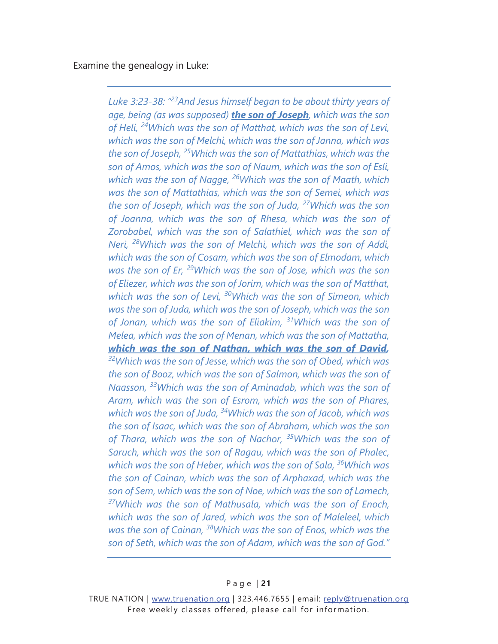Examine the genealogy in Luke:

*Luke 3:23-38: "23And Jesus himself began to be about thirty years of age, being (as was supposed) the son of Joseph, which was the son of Heli, 24Which was the son of Matthat, which was the son of Levi, which was the son of Melchi, which was the son of Janna, which was the son of Joseph, 25Which was the son of Mattathias, which was the son of Amos, which was the son of Naum, which was the son of Esli, which was the son of Nagge, 26Which was the son of Maath, which was the son of Mattathias, which was the son of Semei, which was the son of Joseph, which was the son of Juda, 27Which was the son of Joanna, which was the son of Rhesa, which was the son of Zorobabel, which was the son of Salathiel, which was the son of Neri, 28Which was the son of Melchi, which was the son of Addi, which was the son of Cosam, which was the son of Elmodam, which was the son of Er, 29Which was the son of Jose, which was the son of Eliezer, which was the son of Jorim, which was the son of Matthat, which was the son of Levi, 30Which was the son of Simeon, which was the son of Juda, which was the son of Joseph, which was the son of Jonan, which was the son of Eliakim, 31Which was the son of Melea, which was the son of Menan, which was the son of Mattatha, which was the son of Nathan, which was the son of David, 32Which was the son of Jesse, which was the son of Obed, which was the son of Booz, which was the son of Salmon, which was the son of Naasson, 33Which was the son of Aminadab, which was the son of Aram, which was the son of Esrom, which was the son of Phares, which was the son of Juda, 34Which was the son of Jacob, which was the son of Isaac, which was the son of Abraham, which was the son of Thara, which was the son of Nachor, 35Which was the son of Saruch, which was the son of Ragau, which was the son of Phalec, which was the son of Heber, which was the son of Sala, 36Which was the son of Cainan, which was the son of Arphaxad, which was the son of Sem, which was the son of Noe, which was the son of Lamech, 37Which was the son of Mathusala, which was the son of Enoch, which was the son of Jared, which was the son of Maleleel, which was the son of Cainan, 38Which was the son of Enos, which was the son of Seth, which was the son of Adam, which was the son of God."* 

TRUE NATION | www.truenation.org | 323.446.7655 | email: reply@truenation.org Free weekly classes offered, please call for information.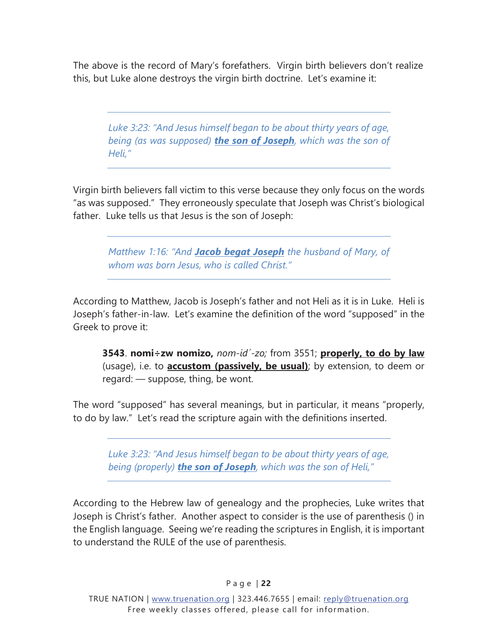The above is the record of Mary's forefathers. Virgin birth believers don't realize this, but Luke alone destroys the virgin birth doctrine. Let's examine it:

*Luke 3:23: "And Jesus himself began to be about thirty years of age, being (as was supposed) the son of Joseph, which was the son of Heli,"* 

Virgin birth believers fall victim to this verse because they only focus on the words "as was supposed." They erroneously speculate that Joseph was Christ's biological father. Luke tells us that Jesus is the son of Joseph:

*Matthew 1:16: "And Jacob begat Joseph the husband of Mary, of whom was born Jesus, who is called Christ."* 

According to Matthew, Jacob is Joseph's father and not Heli as it is in Luke. Heli is Joseph's father-in-law. Let's examine the definition of the word "supposed" in the Greek to prove it:

**3543**. **nomi÷zw nomizo,** *nom-id<sup>'</sup>-zo;* from 3551; **properly, to do by law** (usage), i.e. to **accustom (passively, be usual)**; by extension, to deem or regard: — suppose, thing, be wont.

The word "supposed" has several meanings, but in particular, it means "properly, to do by law." Let's read the scripture again with the definitions inserted.

*Luke 3:23: "And Jesus himself began to be about thirty years of age, being (properly) the son of Joseph, which was the son of Heli,"* 

According to the Hebrew law of genealogy and the prophecies, Luke writes that Joseph is Christ's father. Another aspect to consider is the use of parenthesis () in the English language. Seeing we're reading the scriptures in English, it is important to understand the RULE of the use of parenthesis.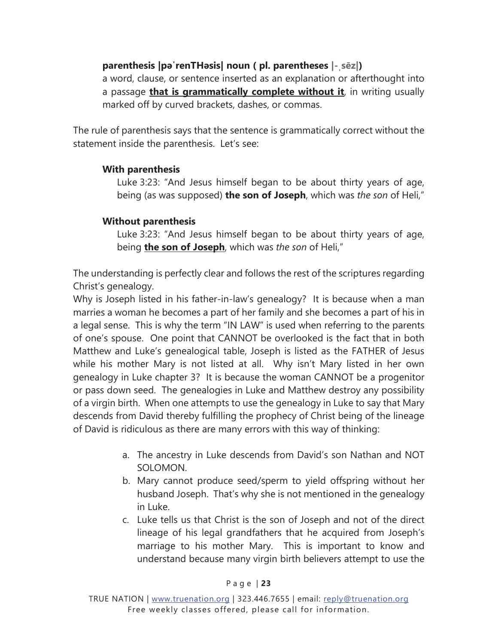#### **parenthesis |pəˈrenTHəsis| noun ( pl. parentheses |- sēz|)**

a word, clause, or sentence inserted as an explanation or afterthought into a passage **that is grammatically complete without it**, in writing usually marked off by curved brackets, dashes, or commas.

The rule of parenthesis says that the sentence is grammatically correct without the statement inside the parenthesis. Let's see:

#### **With parenthesis**

Luke 3:23: "And Jesus himself began to be about thirty years of age, being (as was supposed) **the son of Joseph**, which was *the son* of Heli,"

#### **Without parenthesis**

Luke 3:23: "And Jesus himself began to be about thirty years of age, being **the son of Joseph**, which was *the son* of Heli,"

The understanding is perfectly clear and follows the rest of the scriptures regarding Christ's genealogy.

Why is Joseph listed in his father-in-law's genealogy? It is because when a man marries a woman he becomes a part of her family and she becomes a part of his in a legal sense. This is why the term "IN LAW" is used when referring to the parents of one's spouse. One point that CANNOT be overlooked is the fact that in both Matthew and Luke's genealogical table, Joseph is listed as the FATHER of Jesus while his mother Mary is not listed at all. Why isn't Mary listed in her own genealogy in Luke chapter 3? It is because the woman CANNOT be a progenitor or pass down seed. The genealogies in Luke and Matthew destroy any possibility of a virgin birth. When one attempts to use the genealogy in Luke to say that Mary descends from David thereby fulfilling the prophecy of Christ being of the lineage of David is ridiculous as there are many errors with this way of thinking:

- a. The ancestry in Luke descends from David's son Nathan and NOT SOLOMON.
- b. Mary cannot produce seed/sperm to yield offspring without her husband Joseph. That's why she is not mentioned in the genealogy in Luke.
- c. Luke tells us that Christ is the son of Joseph and not of the direct lineage of his legal grandfathers that he acquired from Joseph's marriage to his mother Mary. This is important to know and understand because many virgin birth believers attempt to use the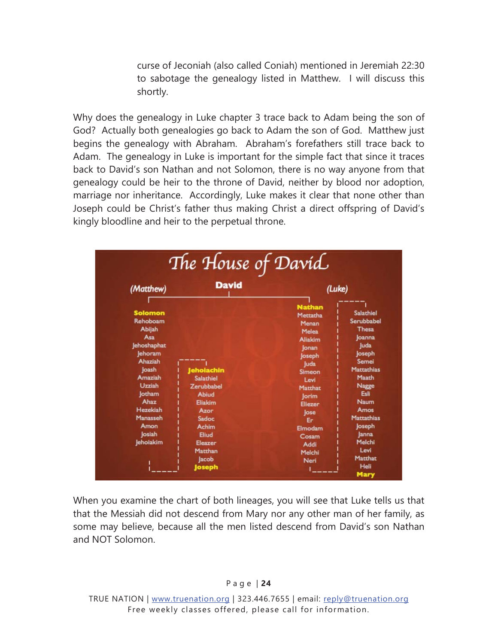curse of Jeconiah (also called Coniah) mentioned in Jeremiah 22:30 to sabotage the genealogy listed in Matthew. I will discuss this shortly.

Why does the genealogy in Luke chapter 3 trace back to Adam being the son of God? Actually both genealogies go back to Adam the son of God. Matthew just begins the genealogy with Abraham. Abraham's forefathers still trace back to Adam. The genealogy in Luke is important for the simple fact that since it traces back to David's son Nathan and not Solomon, there is no way anyone from that genealogy could be heir to the throne of David, neither by blood nor adoption, marriage nor inheritance. Accordingly, Luke makes it clear that none other than Joseph could be Christ's father thus making Christ a direct offspring of David's kingly bloodline and heir to the perpetual throne.

| <b>David</b><br>(Matthew)                                                                                                                                                                                                                                                                                                                               | (Luke)                                                                                                                                                                                                                                                                                                                                                                                                                                                   |
|---------------------------------------------------------------------------------------------------------------------------------------------------------------------------------------------------------------------------------------------------------------------------------------------------------------------------------------------------------|----------------------------------------------------------------------------------------------------------------------------------------------------------------------------------------------------------------------------------------------------------------------------------------------------------------------------------------------------------------------------------------------------------------------------------------------------------|
| <b>Solomon</b><br>Rehoboam<br>Abijah<br>Asa<br>Jehoshaphat<br>lehoram<br>Ahaziah<br><b>Joash</b><br><b>Jeholachin</b><br>Amaziah<br><b>Salathiel</b><br>Uzziah<br>Zerubbabel<br><b>Jotham</b><br><b>Abiud</b><br>Ahaz<br>Eliakim<br>Hezekiah<br>Azor<br>Manasseh<br>Sadoc<br>Amon<br><b>Achim</b><br>losiah<br>Eliud<br>Jehoiakim<br>Eleazer<br>Matthan | <b>Nathan</b><br><b>Salathiel</b><br>Mettatha<br>Serubbabel<br>Menan<br><b>Thesa</b><br><b>Melea</b><br>loanna<br><b>Aliakim</b><br>luda<br>lonan<br>Joseph<br>loseph<br>Semei<br>luda<br><b>Mattathias</b><br><b>Simeon</b><br>Maath<br>Levi<br><b>Nagge</b><br>Matthat<br>Esli<br><b>Jorim</b><br><b>Naum</b><br><b>Eliezer</b><br>Amos<br>lose<br>Mattathias<br>Er:<br><b>Joseph</b><br>Elmodam<br>lanna<br>Cosam<br>Melchi<br>Addi<br>Levi<br>Melchi |

When you examine the chart of both lineages, you will see that Luke tells us that that the Messiah did not descend from Mary nor any other man of her family, as some may believe, because all the men listed descend from David's son Nathan and NOT Solomon.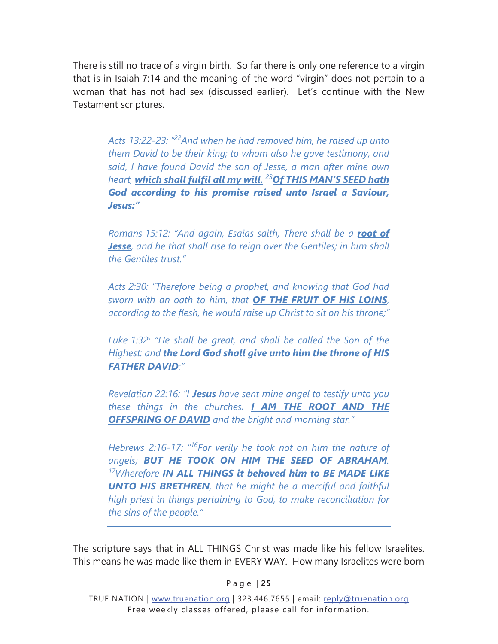There is still no trace of a virgin birth. So far there is only one reference to a virgin that is in Isaiah 7:14 and the meaning of the word "virgin" does not pertain to a woman that has not had sex (discussed earlier). Let's continue with the New Testament scriptures.

*Acts 13:22-23: "22And when he had removed him, he raised up unto them David to be their king; to whom also he gave testimony, and said, I have found David the son of Jesse, a man after mine own heart, which shall fulfil all my will. <sup>23</sup>Of THIS MAN'S SEED hath God according to his promise raised unto Israel a Saviour, Jesus:"* 

*Romans 15:12: "And again, Esaias saith, There shall be a root of Jesse, and he that shall rise to reign over the Gentiles; in him shall the Gentiles trust."* 

*Acts 2:30: "Therefore being a prophet, and knowing that God had sworn with an oath to him, that OF THE FRUIT OF HIS LOINS, according to the flesh, he would raise up Christ to sit on his throne;"* 

*Luke 1:32: "He shall be great, and shall be called the Son of the Highest: and the Lord God shall give unto him the throne of HIS FATHER DAVID:"* 

*Revelation 22:16: "I Jesus have sent mine angel to testify unto you these things in the churches. I AM THE ROOT AND THE OFFSPRING OF DAVID and the bright and morning star."* 

*Hebrews 2:16-17: "16For verily he took not on him the nature of angels; BUT HE TOOK ON HIM THE SEED OF ABRAHAM. 17Wherefore IN ALL THINGS it behoved him to BE MADE LIKE UNTO HIS BRETHREN, that he might be a merciful and faithful high priest in things pertaining to God, to make reconciliation for the sins of the people."* 

The scripture says that in ALL THINGS Christ was made like his fellow Israelites. This means he was made like them in EVERY WAY. How many Israelites were born

P a g e | **25**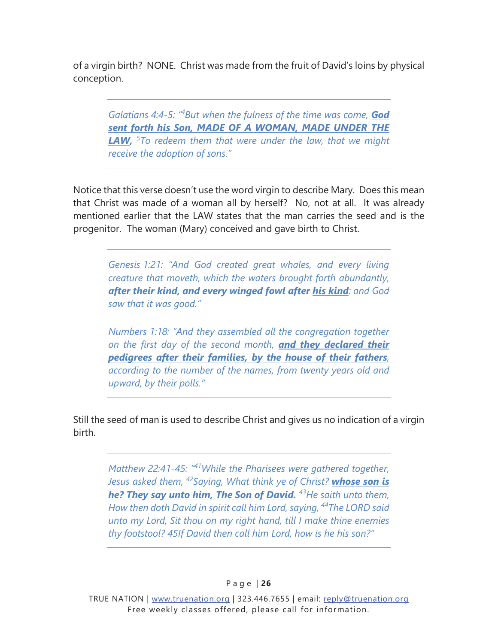of a virgin birth? NONE. Christ was made from the fruit of David's loins by physical conception.

*Galatians 4:4-5: "4 But when the fulness of the time was come, God sent forth his Son, MADE OF A WOMAN, MADE UNDER THE LAW, <sup>5</sup> To redeem them that were under the law, that we might receive the adoption of sons."* 

Notice that this verse doesn't use the word virgin to describe Mary. Does this mean that Christ was made of a woman all by herself? No, not at all. It was already mentioned earlier that the LAW states that the man carries the seed and is the progenitor. The woman (Mary) conceived and gave birth to Christ.

*Genesis 1:21: "And God created great whales, and every living creature that moveth, which the waters brought forth abundantly, after their kind, and every winged fowl after his kind: and God saw that it was good."* 

*Numbers 1:18: "And they assembled all the congregation together on the first day of the second month, and they declared their pedigrees after their families, by the house of their fathers, according to the number of the names, from twenty years old and upward, by their polls."* 

Still the seed of man is used to describe Christ and gives us no indication of a virgin birth.

*Matthew 22:41-45: "41While the Pharisees were gathered together, Jesus asked them, 42Saying, What think ye of Christ? whose son is he? They say unto him, The Son of David. 43He saith unto them, How then doth David in spirit call him Lord, saying, 44The LORD said unto my Lord, Sit thou on my right hand, till I make thine enemies thy footstool? 45If David then call him Lord, how is he his son?"*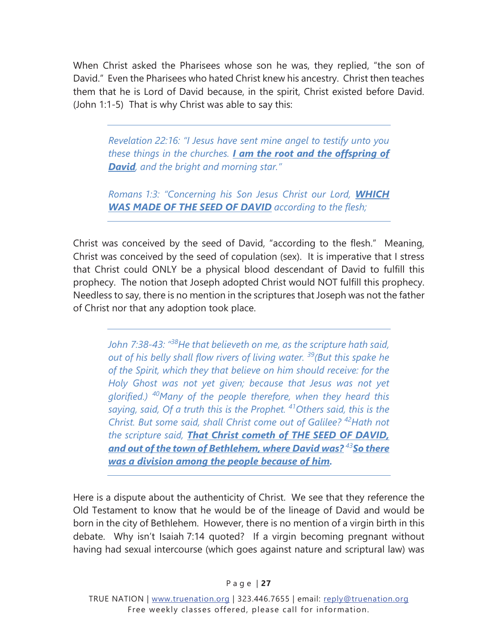When Christ asked the Pharisees whose son he was, they replied, "the son of David." Even the Pharisees who hated Christ knew his ancestry. Christ then teaches them that he is Lord of David because, in the spirit, Christ existed before David. (John 1:1-5) That is why Christ was able to say this:

*Revelation 22:16: "I Jesus have sent mine angel to testify unto you these things in the churches. I am the root and the offspring of David, and the bright and morning star."* 

*Romans 1:3: "Concerning his Son Jesus Christ our Lord, WHICH WAS MADE OF THE SEED OF DAVID according to the flesh;* 

Christ was conceived by the seed of David, "according to the flesh." Meaning, Christ was conceived by the seed of copulation (sex). It is imperative that I stress that Christ could ONLY be a physical blood descendant of David to fulfill this prophecy. The notion that Joseph adopted Christ would NOT fulfill this prophecy. Needless to say, there is no mention in the scriptures that Joseph was not the father of Christ nor that any adoption took place.

*John 7:38-43: "38He that believeth on me, as the scripture hath said, out of his belly shall flow rivers of living water. 39(But this spake he of the Spirit, which they that believe on him should receive: for the Holy Ghost was not yet given; because that Jesus was not yet glorified.) 40Many of the people therefore, when they heard this saying, said, Of a truth this is the Prophet. 41Others said, this is the Christ. But some said, shall Christ come out of Galilee? 42Hath not the scripture said, That Christ cometh of THE SEED OF DAVID, and out of the town of Bethlehem, where David was? <sup>43</sup>So there was a division among the people because of him.* 

Here is a dispute about the authenticity of Christ. We see that they reference the Old Testament to know that he would be of the lineage of David and would be born in the city of Bethlehem. However, there is no mention of a virgin birth in this debate. Why isn't Isaiah 7:14 quoted? If a virgin becoming pregnant without having had sexual intercourse (which goes against nature and scriptural law) was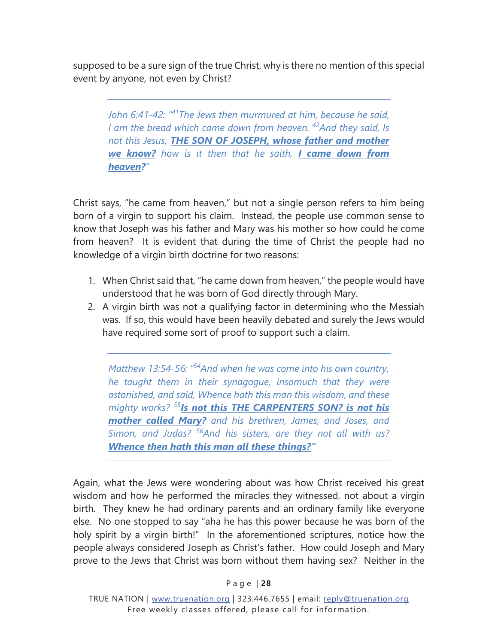supposed to be a sure sign of the true Christ, why is there no mention of this special event by anyone, not even by Christ?

*John 6:41-42: "41The Jews then murmured at him, because he said, I am the bread which came down from heaven. 42And they said, Is not this Jesus, THE SON OF JOSEPH, whose father and mother we know? how is it then that he saith, I came down from heaven?"* 

Christ says, "he came from heaven," but not a single person refers to him being born of a virgin to support his claim. Instead, the people use common sense to know that Joseph was his father and Mary was his mother so how could he come from heaven? It is evident that during the time of Christ the people had no knowledge of a virgin birth doctrine for two reasons:

- 1. When Christ said that, "he came down from heaven," the people would have understood that he was born of God directly through Mary.
- 2. A virgin birth was not a qualifying factor in determining who the Messiah was. If so, this would have been heavily debated and surely the Jews would have required some sort of proof to support such a claim.

*Matthew 13:54-56: "54And when he was come into his own country, he taught them in their synagogue, insomuch that they were astonished, and said, Whence hath this man this wisdom, and these mighty works? <sup>55</sup>Is not this THE CARPENTERS SON? is not his mother called Mary? and his brethren, James, and Joses, and Simon, and Judas? 56And his sisters, are they not all with us? Whence then hath this man all these things?"* 

Again, what the Jews were wondering about was how Christ received his great wisdom and how he performed the miracles they witnessed, not about a virgin birth. They knew he had ordinary parents and an ordinary family like everyone else. No one stopped to say "aha he has this power because he was born of the holy spirit by a virgin birth!" In the aforementioned scriptures, notice how the people always considered Joseph as Christ's father. How could Joseph and Mary prove to the Jews that Christ was born without them having sex? Neither in the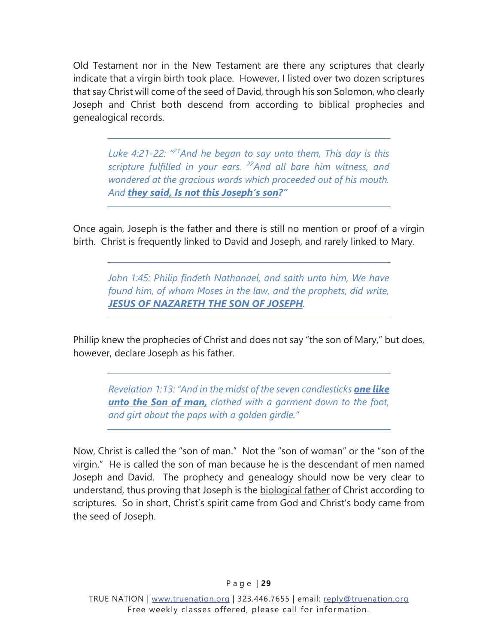Old Testament nor in the New Testament are there any scriptures that clearly indicate that a virgin birth took place. However, I listed over two dozen scriptures that say Christ will come of the seed of David, through his son Solomon, who clearly Joseph and Christ both descend from according to biblical prophecies and genealogical records.

*Luke 4:21-22: "21And he began to say unto them, This day is this scripture fulfilled in your ears. 22And all bare him witness, and wondered at the gracious words which proceeded out of his mouth. And they said, Is not this Joseph's son?"* 

Once again, Joseph is the father and there is still no mention or proof of a virgin birth. Christ is frequently linked to David and Joseph, and rarely linked to Mary.

*John 1:45: Philip findeth Nathanael, and saith unto him, We have found him, of whom Moses in the law, and the prophets, did write, JESUS OF NAZARETH THE SON OF JOSEPH.* 

Phillip knew the prophecies of Christ and does not say "the son of Mary," but does, however, declare Joseph as his father.

*Revelation 1:13: "And in the midst of the seven candlesticks one like unto the Son of man, clothed with a garment down to the foot, and girt about the paps with a golden girdle."* 

Now, Christ is called the "son of man." Not the "son of woman" or the "son of the virgin." He is called the son of man because he is the descendant of men named Joseph and David. The prophecy and genealogy should now be very clear to understand, thus proving that Joseph is the biological father of Christ according to scriptures. So in short, Christ's spirit came from God and Christ's body came from the seed of Joseph.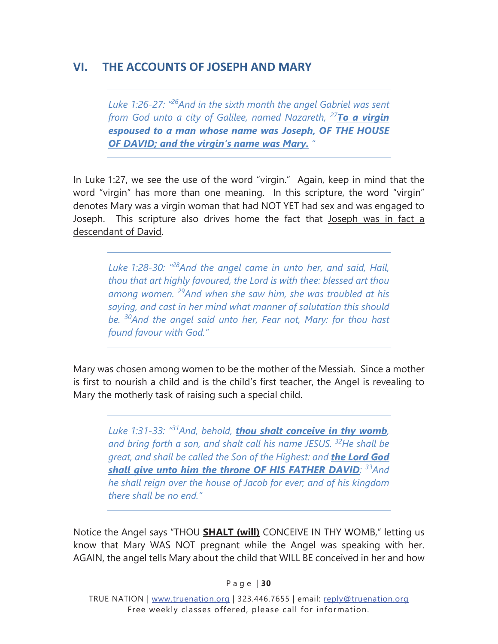# <span id="page-33-0"></span>**VI. THE ACCOUNTS OF JOSEPH AND MARY**

*Luke 1:26-27: "26And in the sixth month the angel Gabriel was sent from God unto a city of Galilee, named Nazareth, <sup>27</sup>To a virgin espoused to a man whose name was Joseph, OF THE HOUSE OF DAVID; and the virgin's name was Mary. "* 

In Luke 1:27, we see the use of the word "virgin." Again, keep in mind that the word "virgin" has more than one meaning. In this scripture, the word "virgin" denotes Mary was a virgin woman that had NOT YET had sex and was engaged to Joseph. This scripture also drives home the fact that Joseph was in fact a descendant of David.

*Luke 1:28-30: "28And the angel came in unto her, and said, Hail, thou that art highly favoured, the Lord is with thee: blessed art thou among women. 29And when she saw him, she was troubled at his saying, and cast in her mind what manner of salutation this should be. 30And the angel said unto her, Fear not, Mary: for thou hast found favour with God."* 

Mary was chosen among women to be the mother of the Messiah. Since a mother is first to nourish a child and is the child's first teacher, the Angel is revealing to Mary the motherly task of raising such a special child.

*Luke 1:31-33: "31And, behold, thou shalt conceive in thy womb, and bring forth a son, and shalt call his name JESUS. 32He shall be great, and shall be called the Son of the Highest: and the Lord God shall give unto him the throne OF HIS FATHER DAVID: 33And he shall reign over the house of Jacob for ever; and of his kingdom there shall be no end."* 

Notice the Angel says "THOU **SHALT (will)** CONCEIVE IN THY WOMB," letting us know that Mary WAS NOT pregnant while the Angel was speaking with her. AGAIN, the angel tells Mary about the child that WILL BE conceived in her and how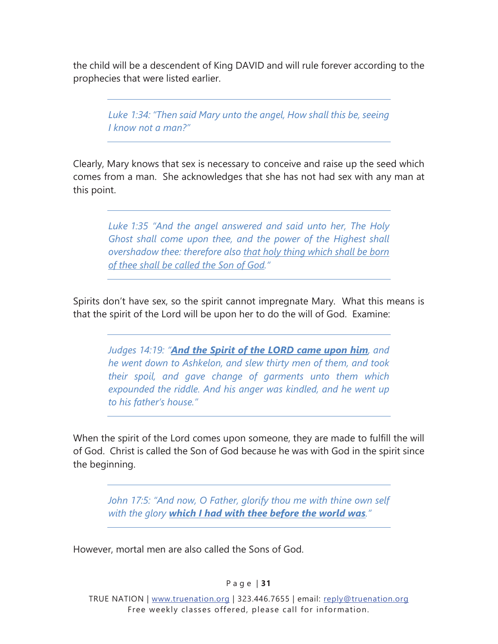the child will be a descendent of King DAVID and will rule forever according to the prophecies that were listed earlier.

*Luke 1:34: "Then said Mary unto the angel, How shall this be, seeing I know not a man?"* 

Clearly, Mary knows that sex is necessary to conceive and raise up the seed which comes from a man. She acknowledges that she has not had sex with any man at this point.

*Luke 1:35 "And the angel answered and said unto her, The Holy Ghost shall come upon thee, and the power of the Highest shall overshadow thee: therefore also that holy thing which shall be born of thee shall be called the Son of God."* 

Spirits don't have sex, so the spirit cannot impregnate Mary. What this means is that the spirit of the Lord will be upon her to do the will of God. Examine:

*Judges 14:19: "And the Spirit of the LORD came upon him, and he went down to Ashkelon, and slew thirty men of them, and took their spoil, and gave change of garments unto them which expounded the riddle. And his anger was kindled, and he went up to his father's house."* 

When the spirit of the Lord comes upon someone, they are made to fulfill the will of God. Christ is called the Son of God because he was with God in the spirit since the beginning.

*John 17:5: "And now, O Father, glorify thou me with thine own self with the glory which I had with thee before the world was."* 

However, mortal men are also called the Sons of God.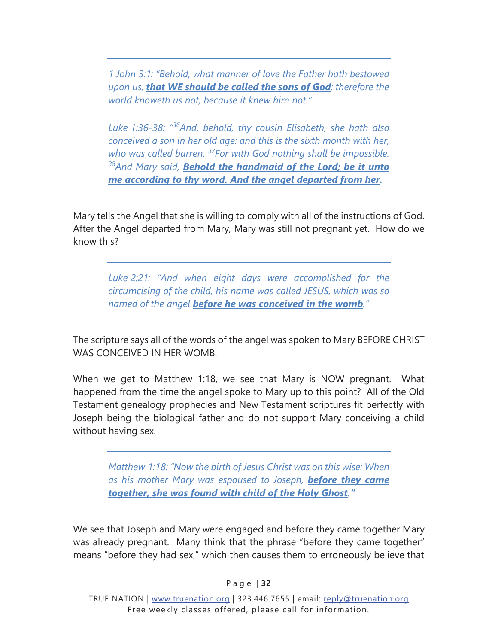*1 John 3:1: "Behold, what manner of love the Father hath bestowed upon us, that WE should be called the sons of God: therefore the world knoweth us not, because it knew him not."* 

*Luke 1:36-38: "36And, behold, thy cousin Elisabeth, she hath also conceived a son in her old age: and this is the sixth month with her, who was called barren. 37For with God nothing shall be impossible. 38And Mary said, Behold the handmaid of the Lord; be it unto me according to thy word. And the angel departed from her.* 

Mary tells the Angel that she is willing to comply with all of the instructions of God. After the Angel departed from Mary, Mary was still not pregnant yet. How do we know this?

*Luke 2:21: "And when eight days were accomplished for the circumcising of the child, his name was called JESUS, which was so named of the angel before he was conceived in the womb."* 

The scripture says all of the words of the angel was spoken to Mary BEFORE CHRIST WAS CONCEIVED IN HER WOMB.

When we get to Matthew 1:18, we see that Mary is NOW pregnant. What happened from the time the angel spoke to Mary up to this point? All of the Old Testament genealogy prophecies and New Testament scriptures fit perfectly with Joseph being the biological father and do not support Mary conceiving a child without having sex.

*Matthew 1:18: "Now the birth of Jesus Christ was on this wise: When as his mother Mary was espoused to Joseph, before they came together, she was found with child of the Holy Ghost."* 

We see that Joseph and Mary were engaged and before they came together Mary was already pregnant. Many think that the phrase "before they came together" means "before they had sex," which then causes them to erroneously believe that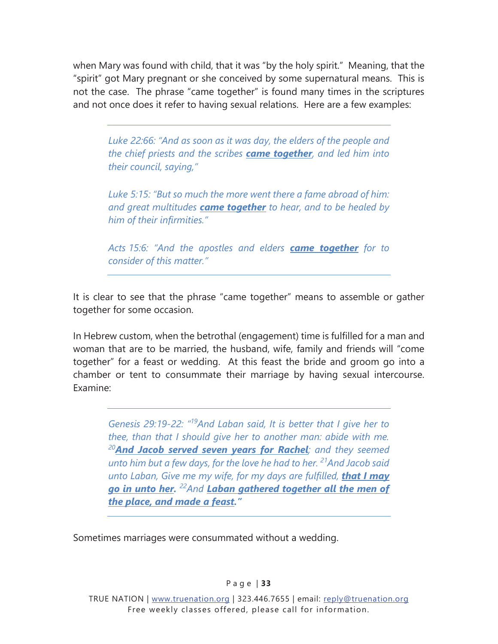when Mary was found with child, that it was "by the holy spirit." Meaning, that the "spirit" got Mary pregnant or she conceived by some supernatural means. This is not the case. The phrase "came together" is found many times in the scriptures and not once does it refer to having sexual relations. Here are a few examples:

*Luke 22:66: "And as soon as it was day, the elders of the people and the chief priests and the scribes came together, and led him into their council, saying,"* 

*Luke 5:15: "But so much the more went there a fame abroad of him: and great multitudes came together to hear, and to be healed by him of their infirmities."* 

*Acts 15:6: "And the apostles and elders came together for to consider of this matter."* 

It is clear to see that the phrase "came together" means to assemble or gather together for some occasion.

In Hebrew custom, when the betrothal (engagement) time is fulfilled for a man and woman that are to be married, the husband, wife, family and friends will "come together" for a feast or wedding. At this feast the bride and groom go into a chamber or tent to consummate their marriage by having sexual intercourse. Examine:

*Genesis 29:19-22: "19And Laban said, It is better that I give her to thee, than that I should give her to another man: abide with me. <sup>20</sup>And Jacob served seven years for Rachel; and they seemed unto him but a few days, for the love he had to her. 21And Jacob said unto Laban, Give me my wife, for my days are fulfilled, that I may go in unto her. 22And Laban gathered together all the men of the place, and made a feast."* 

Sometimes marriages were consummated without a wedding.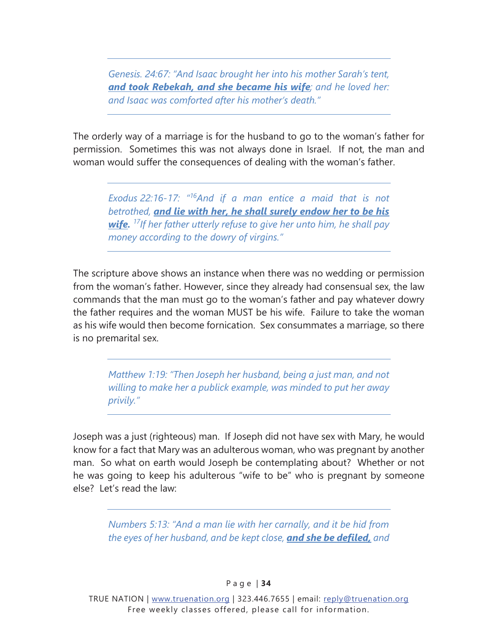*Genesis. 24:67: "And Isaac brought her into his mother Sarah's tent, and took Rebekah, and she became his wife; and he loved her: and Isaac was comforted after his mother's death."* 

The orderly way of a marriage is for the husband to go to the woman's father for permission. Sometimes this was not always done in Israel. If not, the man and woman would suffer the consequences of dealing with the woman's father.

*Exodus 22:16-17: "16And if a man entice a maid that is not betrothed, and lie with her, he shall surely endow her to be his wife. 17If her father utterly refuse to give her unto him, he shall pay money according to the dowry of virgins."* 

The scripture above shows an instance when there was no wedding or permission from the woman's father. However, since they already had consensual sex, the law commands that the man must go to the woman's father and pay whatever dowry the father requires and the woman MUST be his wife. Failure to take the woman as his wife would then become fornication. Sex consummates a marriage, so there is no premarital sex.

*Matthew 1:19: "Then Joseph her husband, being a just man, and not willing to make her a publick example, was minded to put her away privily."* 

Joseph was a just (righteous) man. If Joseph did not have sex with Mary, he would know for a fact that Mary was an adulterous woman, who was pregnant by another man. So what on earth would Joseph be contemplating about? Whether or not he was going to keep his adulterous "wife to be" who is pregnant by someone else? Let's read the law:

*Numbers 5:13: "And a man lie with her carnally, and it be hid from the eyes of her husband, and be kept close, and she be defiled, and*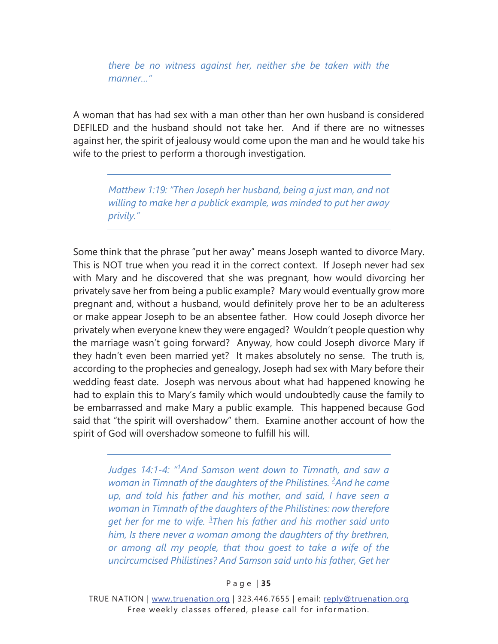*there be no witness against her, neither she be taken with the manner…"* 

A woman that has had sex with a man other than her own husband is considered DEFILED and the husband should not take her. And if there are no witnesses against her, the spirit of jealousy would come upon the man and he would take his wife to the priest to perform a thorough investigation.

*Matthew 1:19: "Then Joseph her husband, being a just man, and not willing to make her a publick example, was minded to put her away privily."* 

Some think that the phrase "put her away" means Joseph wanted to divorce Mary. This is NOT true when you read it in the correct context. If Joseph never had sex with Mary and he discovered that she was pregnant, how would divorcing her privately save her from being a public example? Mary would eventually grow more pregnant and, without a husband, would definitely prove her to be an adulteress or make appear Joseph to be an absentee father. How could Joseph divorce her privately when everyone knew they were engaged? Wouldn't people question why the marriage wasn't going forward? Anyway, how could Joseph divorce Mary if they hadn't even been married yet? It makes absolutely no sense. The truth is, according to the prophecies and genealogy, Joseph had sex with Mary before their wedding feast date. Joseph was nervous about what had happened knowing he had to explain this to Mary's family which would undoubtedly cause the family to be embarrassed and make Mary a public example. This happened because God said that "the spirit will overshadow" them. Examine another account of how the spirit of God will overshadow someone to fulfill his will.

*Judges 14:1-4: "1 And Samson went down to Timnath, and saw a*  woman in Timnath of the daughters of the Philistines. <sup>2</sup>And he came *up, and told his father and his mother, and said, I have seen a woman in Timnath of the daughters of the Philistines: now therefore get her for me to wife. <sup>3</sup> Then his father and his mother said unto him, Is there never a woman among the daughters of thy brethren, or among all my people, that thou goest to take a wife of the uncircumcised Philistines? And Samson said unto his father, Get her* 

#### P a g e | **35**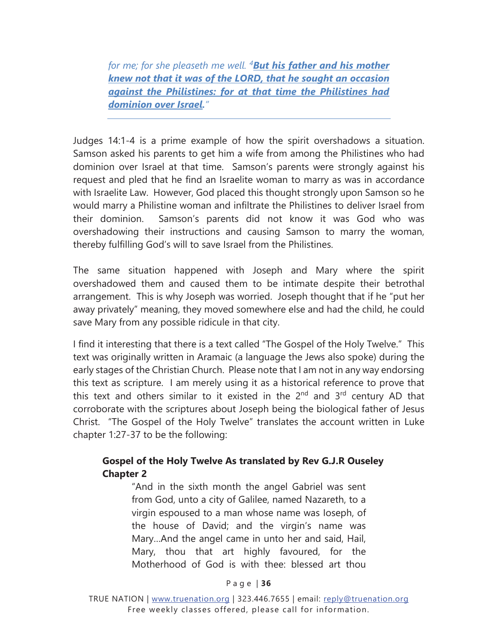*for me; for she pleaseth me well. <sup>4</sup> But his father and his mother knew not that it was of the LORD, that he sought an occasion against the Philistines: for at that time the Philistines had dominion over Israel."* 

Judges 14:1-4 is a prime example of how the spirit overshadows a situation. Samson asked his parents to get him a wife from among the Philistines who had dominion over Israel at that time. Samson's parents were strongly against his request and pled that he find an Israelite woman to marry as was in accordance with Israelite Law. However, God placed this thought strongly upon Samson so he would marry a Philistine woman and infiltrate the Philistines to deliver Israel from their dominion. Samson's parents did not know it was God who was overshadowing their instructions and causing Samson to marry the woman, thereby fulfilling God's will to save Israel from the Philistines.

The same situation happened with Joseph and Mary where the spirit overshadowed them and caused them to be intimate despite their betrothal arrangement. This is why Joseph was worried. Joseph thought that if he "put her away privately" meaning, they moved somewhere else and had the child, he could save Mary from any possible ridicule in that city.

I find it interesting that there is a text called "The Gospel of the Holy Twelve." This text was originally written in Aramaic (a language the Jews also spoke) during the early stages of the Christian Church. Please note that I am not in any way endorsing this text as scripture. I am merely using it as a historical reference to prove that this text and others similar to it existed in the  $2<sup>nd</sup>$  and  $3<sup>rd</sup>$  century AD that corroborate with the scriptures about Joseph being the biological father of Jesus Christ. "The Gospel of the Holy Twelve" translates the account written in Luke chapter 1:27-37 to be the following:

#### Gospel of the Holy Twelve As translated by Rev G.J.R Ouseley **Chapter 2**

"And in the sixth month the angel Gabriel was sent from God, unto a city of Galilee, named Nazareth, to a virgin espoused to a man whose name was Ioseph, of the house of David; and the virgin's name was Mary…And the angel came in unto her and said, Hail, Mary, thou that art highly favoured, for the Motherhood of God is with thee: blessed art thou

#### P a g e | **36**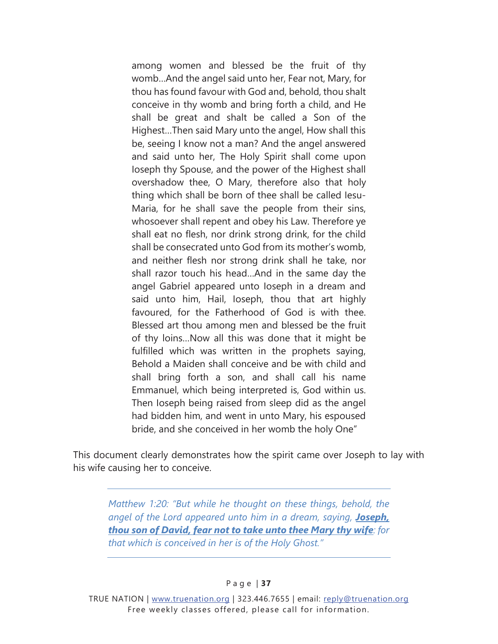among women and blessed be the fruit of thy womb…And the angel said unto her, Fear not, Mary, for thou has found favour with God and, behold, thou shalt conceive in thy womb and bring forth a child, and He shall be great and shalt be called a Son of the Highest…Then said Mary unto the angel, How shall this be, seeing I know not a man? And the angel answered and said unto her, The Holy Spirit shall come upon Ioseph thy Spouse, and the power of the Highest shall overshadow thee, O Mary, therefore also that holy thing which shall be born of thee shall be called Iesu-Maria, for he shall save the people from their sins, whosoever shall repent and obey his Law. Therefore ye shall eat no flesh, nor drink strong drink, for the child shall be consecrated unto God from its mother's womb, and neither flesh nor strong drink shall he take, nor shall razor touch his head…And in the same day the angel Gabriel appeared unto Ioseph in a dream and said unto him, Hail, Ioseph, thou that art highly favoured, for the Fatherhood of God is with thee. Blessed art thou among men and blessed be the fruit of thy loins…Now all this was done that it might be fulfilled which was written in the prophets saying, Behold a Maiden shall conceive and be with child and shall bring forth a son, and shall call his name Emmanuel, which being interpreted is, God within us. Then Ioseph being raised from sleep did as the angel had bidden him, and went in unto Mary, his espoused bride, and she conceived in her womb the holy One"

This document clearly demonstrates how the spirit came over Joseph to lay with his wife causing her to conceive.

*Matthew 1:20: "But while he thought on these things, behold, the angel of the Lord appeared unto him in a dream, saying, Joseph, thou son of David, fear not to take unto thee Mary thy wife: for that which is conceived in her is of the Holy Ghost."*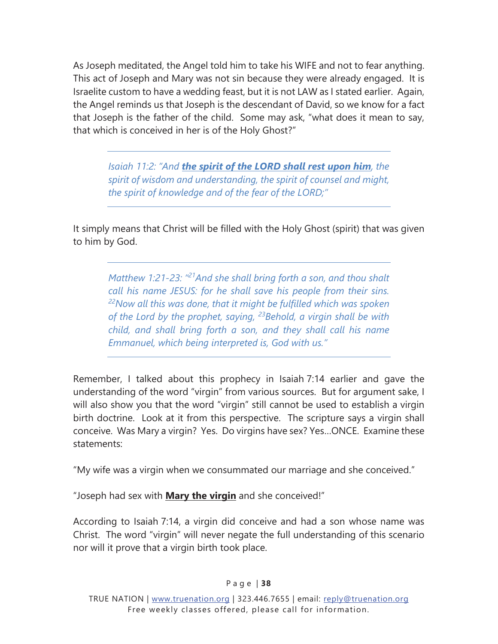As Joseph meditated, the Angel told him to take his WIFE and not to fear anything. This act of Joseph and Mary was not sin because they were already engaged. It is Israelite custom to have a wedding feast, but it is not LAW as I stated earlier. Again, the Angel reminds us that Joseph is the descendant of David, so we know for a fact that Joseph is the father of the child. Some may ask, "what does it mean to say, that which is conceived in her is of the Holy Ghost?"

*Isaiah 11:2: "And the spirit of the LORD shall rest upon him, the spirit of wisdom and understanding, the spirit of counsel and might, the spirit of knowledge and of the fear of the LORD;"* 

It simply means that Christ will be filled with the Holy Ghost (spirit) that was given to him by God.

*Matthew 1:21-23: "21And she shall bring forth a son, and thou shalt call his name JESUS: for he shall save his people from their sins. 22Now all this was done, that it might be fulfilled which was spoken of the Lord by the prophet, saying, 23Behold, a virgin shall be with child, and shall bring forth a son, and they shall call his name Emmanuel, which being interpreted is, God with us."* 

Remember, I talked about this prophecy in Isaiah 7:14 earlier and gave the understanding of the word "virgin" from various sources. But for argument sake, I will also show you that the word "virgin" still cannot be used to establish a virgin birth doctrine. Look at it from this perspective. The scripture says a virgin shall conceive. Was Mary a virgin? Yes. Do virgins have sex? Yes…ONCE. Examine these statements:

"My wife was a virgin when we consummated our marriage and she conceived."

"Joseph had sex with **Mary the virgin** and she conceived!"

According to Isaiah 7:14, a virgin did conceive and had a son whose name was Christ. The word "virgin" will never negate the full understanding of this scenario nor will it prove that a virgin birth took place.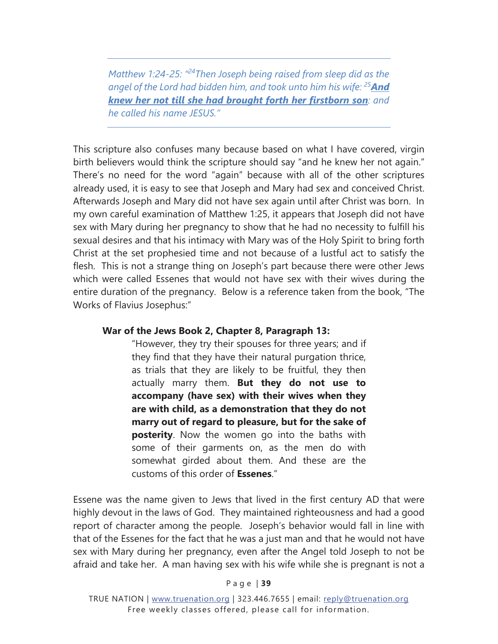*Matthew 1:24-25: "24Then Joseph being raised from sleep did as the angel of the Lord had bidden him, and took unto him his wife: 25And knew her not till she had brought forth her firstborn son: and he called his name JESUS."* 

This scripture also confuses many because based on what I have covered, virgin birth believers would think the scripture should say "and he knew her not again." There's no need for the word "again" because with all of the other scriptures already used, it is easy to see that Joseph and Mary had sex and conceived Christ. Afterwards Joseph and Mary did not have sex again until after Christ was born. In my own careful examination of Matthew 1:25, it appears that Joseph did not have sex with Mary during her pregnancy to show that he had no necessity to fulfill his sexual desires and that his intimacy with Mary was of the Holy Spirit to bring forth Christ at the set prophesied time and not because of a lustful act to satisfy the flesh. This is not a strange thing on Joseph's part because there were other Jews which were called Essenes that would not have sex with their wives during the entire duration of the pregnancy. Below is a reference taken from the book, "The Works of Flavius Josephus:"

#### War of the Jews Book 2, Chapter 8, Paragraph 13:

"However, they try their spouses for three years; and if they find that they have their natural purgation thrice, as trials that they are likely to be fruitful, they then actually marry them. But they do not use to accompany (have sex) with their wives when they are with child, as a demonstration that they do not marry out of regard to pleasure, but for the sake of **posterity**. Now the women go into the baths with some of their garments on, as the men do with somewhat girded about them. And these are the customs of this order of **Essenes**."

Essene was the name given to Jews that lived in the first century AD that were highly devout in the laws of God. They maintained righteousness and had a good report of character among the people. Joseph's behavior would fall in line with that of the Essenes for the fact that he was a just man and that he would not have sex with Mary during her pregnancy, even after the Angel told Joseph to not be afraid and take her. A man having sex with his wife while she is pregnant is not a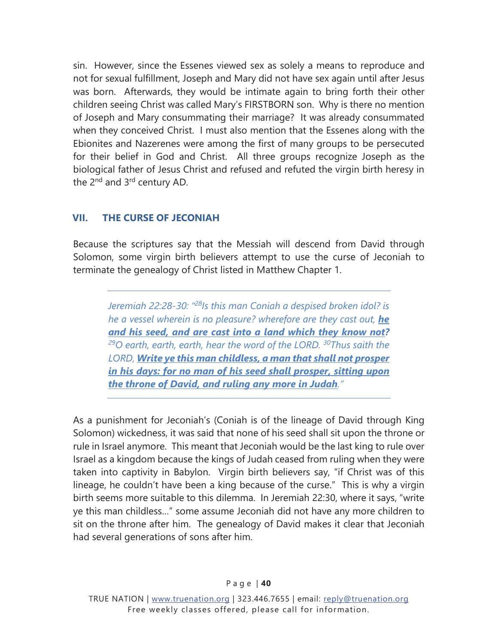<span id="page-43-0"></span>sin. However, since the Essenes viewed sex as solely a means to reproduce and not for sexual fulfillment, Joseph and Mary did not have sex again until after Jesus was born. Afterwards, they would be intimate again to bring forth their other children seeing Christ was called Mary's FIRSTBORN son. Why is there no mention of Joseph and Mary consummating their marriage? It was already consummated when they conceived Christ. I must also mention that the Essenes along with the Ebionites and Nazerenes were among the first of many groups to be persecuted for their belief in God and Christ. All three groups recognize Joseph as the biological father of Jesus Christ and refused and refuted the virgin birth heresy in the 2<sup>nd</sup> and 3<sup>rd</sup> century AD.

# **VII. THE CURSE OF JECONIAH**

Because the scriptures say that the Messiah will descend from David through Solomon, some virgin birth believers attempt to use the curse of Jeconiah to terminate the genealogy of Christ listed in Matthew Chapter 1.

*Jeremiah 22:28-30: "28Is this man Coniah a despised broken idol? is he a vessel wherein is no pleasure? wherefore are they cast out, he and his seed, and are cast into a land which they know not? 29O earth, earth, earth, hear the word of the LORD. 30Thus saith the LORD, Write ye this man childless, a man that shall not prosper in his days: for no man of his seed shall prosper, sitting upon the throne of David, and ruling any more in Judah."* 

As a punishment for Jeconiah's (Coniah is of the lineage of David through King Solomon) wickedness, it was said that none of his seed shall sit upon the throne or rule in Israel anymore. This meant that Jeconiah would be the last king to rule over Israel as a kingdom because the kings of Judah ceased from ruling when they were taken into captivity in Babylon. Virgin birth believers say, "if Christ was of this lineage, he couldn't have been a king because of the curse." This is why a virgin birth seems more suitable to this dilemma. In Jeremiah 22:30, where it says, "write ye this man childless…" some assume Jeconiah did not have any more children to sit on the throne after him. The genealogy of David makes it clear that Jeconiah had several generations of sons after him.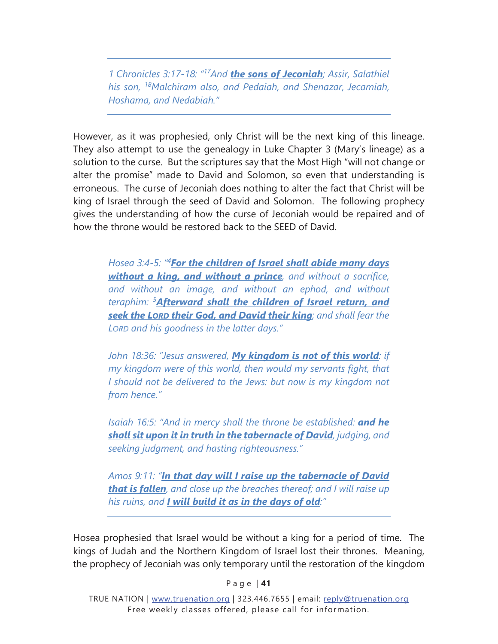*1 Chronicles 3:17-18: "17And the sons of Jeconiah; Assir, Salathiel his son, 18Malchiram also, and Pedaiah, and Shenazar, Jecamiah, Hoshama, and Nedabiah."* 

However, as it was prophesied, only Christ will be the next king of this lineage. They also attempt to use the genealogy in Luke Chapter 3 (Mary's lineage) as a solution to the curse. But the scriptures say that the Most High "will not change or alter the promise" made to David and Solomon, so even that understanding is erroneous. The curse of Jeconiah does nothing to alter the fact that Christ will be king of Israel through the seed of David and Solomon. The following prophecy gives the understanding of how the curse of Jeconiah would be repaired and of how the throne would be restored back to the SEED of David.

*Hosea 3:4-5: "4 For the children of Israel shall abide many days without a king, and without a prince, and without a sacrifice, and without an image, and without an ephod, and without teraphim: <sup>5</sup> Afterward shall the children of Israel return, and seek the LORD their God, and David their king; and shall fear the LORD and his goodness in the latter days."* 

*John 18:36: "Jesus answered, My kingdom is not of this world: if my kingdom were of this world, then would my servants fight, that I should not be delivered to the Jews: but now is my kingdom not from hence."*

*Isaiah 16:5: "And in mercy shall the throne be established: and he shall sit upon it in truth in the tabernacle of David, judging, and seeking judgment, and hasting righteousness."* 

*Amos 9:11: "In that day will I raise up the tabernacle of David that is fallen, and close up the breaches thereof; and I will raise up his ruins, and I will build it as in the days of old:"* 

Hosea prophesied that Israel would be without a king for a period of time. The kings of Judah and the Northern Kingdom of Israel lost their thrones. Meaning, the prophecy of Jeconiah was only temporary until the restoration of the kingdom

P a g e | **41**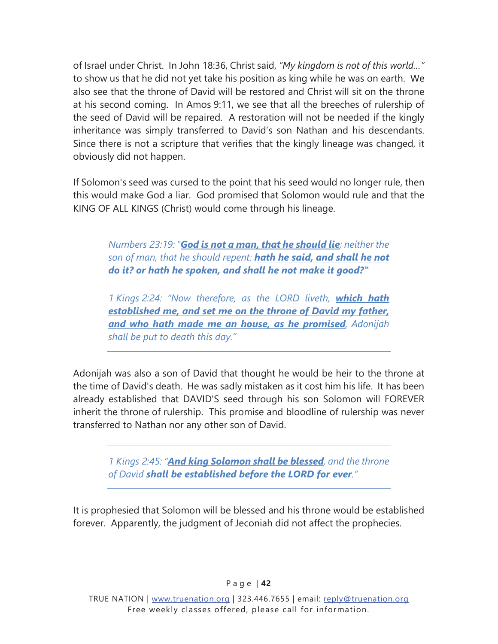of Israel under Christ. In John 18:36, Christ said, *"My kingdom is not of this world…"* to show us that he did not yet take his position as king while he was on earth. We also see that the throne of David will be restored and Christ will sit on the throne at his second coming. In Amos 9:11, we see that all the breeches of rulership of the seed of David will be repaired. A restoration will not be needed if the kingly inheritance was simply transferred to David's son Nathan and his descendants. Since there is not a scripture that verifies that the kingly lineage was changed, it obviously did not happen.

If Solomon's seed was cursed to the point that his seed would no longer rule, then this would make God a liar. God promised that Solomon would rule and that the KING OF ALL KINGS (Christ) would come through his lineage.

*Numbers 23:19: "God is not a man, that he should lie; neither the son of man, that he should repent: hath he said, and shall he not do it? or hath he spoken, and shall he not make it good?"* 

*1 Kings 2:24: "Now therefore, as the LORD liveth, which hath established me, and set me on the throne of David my father, and who hath made me an house, as he promised, Adonijah shall be put to death this day."* 

Adonijah was also a son of David that thought he would be heir to the throne at the time of David's death. He was sadly mistaken as it cost him his life. It has been already established that DAVID'S seed through his son Solomon will FOREVER inherit the throne of rulership. This promise and bloodline of rulership was never transferred to Nathan nor any other son of David.

*1 Kings 2:45: "And king Solomon shall be blessed, and the throne of David shall be established before the LORD for ever."* 

It is prophesied that Solomon will be blessed and his throne would be established forever. Apparently, the judgment of Jeconiah did not affect the prophecies.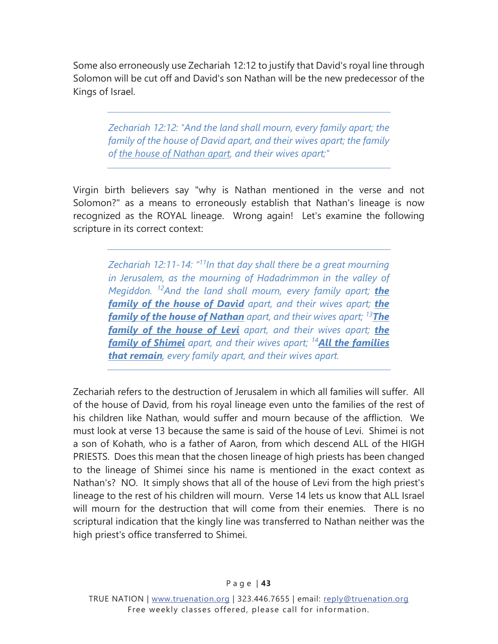Some also erroneously use Zechariah 12:12 to justify that David's royal line through Solomon will be cut off and David's son Nathan will be the new predecessor of the Kings of Israel.

*Zechariah 12:12: "And the land shall mourn, every family apart; the family of the house of David apart, and their wives apart; the family of the house of Nathan apart, and their wives apart;"* 

Virgin birth believers say "why is Nathan mentioned in the verse and not Solomon?" as a means to erroneously establish that Nathan's lineage is now recognized as the ROYAL lineage. Wrong again! Let's examine the following scripture in its correct context:

*Zechariah 12:11-14: "11In that day shall there be a great mourning in Jerusalem, as the mourning of Hadadrimmon in the valley of Megiddon. 12And the land shall mourn, every family apart; the family of the house of David apart, and their wives apart; the family of the house of Nathan apart, and their wives apart; 13The family of the house of Levi apart, and their wives apart; the family of Shimei apart, and their wives apart; <sup>14</sup>All the families that remain, every family apart, and their wives apart.* 

Zechariah refers to the destruction of Jerusalem in which all families will suffer. All of the house of David, from his royal lineage even unto the families of the rest of his children like Nathan, would suffer and mourn because of the affliction. We must look at verse 13 because the same is said of the house of Levi. Shimei is not a son of Kohath, who is a father of Aaron, from which descend ALL of the HIGH PRIESTS. Does this mean that the chosen lineage of high priests has been changed to the lineage of Shimei since his name is mentioned in the exact context as Nathan's? NO. It simply shows that all of the house of Levi from the high priest's lineage to the rest of his children will mourn. Verse 14 lets us know that ALL Israel will mourn for the destruction that will come from their enemies. There is no scriptural indication that the kingly line was transferred to Nathan neither was the high priest's office transferred to Shimei.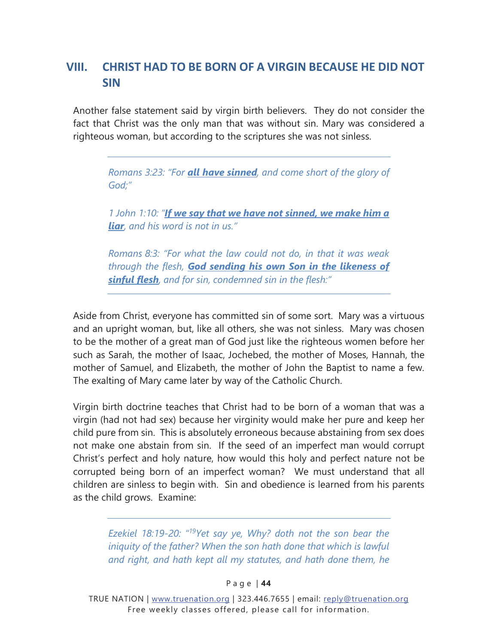# <span id="page-47-0"></span>**VIII. CHRIST HAD TO BE BORN OF A VIRGIN BECAUSE HE DID NOT SIN**

Another false statement said by virgin birth believers. They do not consider the fact that Christ was the only man that was without sin. Mary was considered a righteous woman, but according to the scriptures she was not sinless.

> *Romans 3:23: "For all have sinned, and come short of the glory of God;"*

> *1 John 1:10: "If we say that we have not sinned, we make him a liar, and his word is not in us."*

> *Romans 8:3: "For what the law could not do, in that it was weak through the flesh, God sending his own Son in the likeness of sinful flesh, and for sin, condemned sin in the flesh:"*

Aside from Christ, everyone has committed sin of some sort. Mary was a virtuous and an upright woman, but, like all others, she was not sinless. Mary was chosen to be the mother of a great man of God just like the righteous women before her such as Sarah, the mother of Isaac, Jochebed, the mother of Moses, Hannah, the mother of Samuel, and Elizabeth, the mother of John the Baptist to name a few. The exalting of Mary came later by way of the Catholic Church.

Virgin birth doctrine teaches that Christ had to be born of a woman that was a virgin (had not had sex) because her virginity would make her pure and keep her child pure from sin. This is absolutely erroneous because abstaining from sex does not make one abstain from sin. If the seed of an imperfect man would corrupt Christ's perfect and holy nature, how would this holy and perfect nature not be corrupted being born of an imperfect woman? We must understand that all children are sinless to begin with. Sin and obedience is learned from his parents as the child grows. Examine:

*Ezekiel 18:19-20: "19Yet say ye, Why? doth not the son bear the iniquity of the father? When the son hath done that which is lawful and right, and hath kept all my statutes, and hath done them, he* 

P a g e | **44**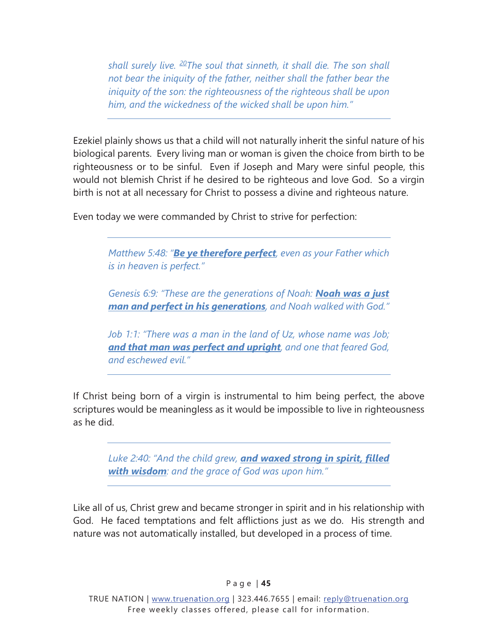*shall surely live. 20The soul that sinneth, it shall die. The son shall not bear the iniquity of the father, neither shall the father bear the iniquity of the son: the righteousness of the righteous shall be upon him, and the wickedness of the wicked shall be upon him."* 

Ezekiel plainly shows us that a child will not naturally inherit the sinful nature of his biological parents. Every living man or woman is given the choice from birth to be righteousness or to be sinful. Even if Joseph and Mary were sinful people, this would not blemish Christ if he desired to be righteous and love God. So a virgin birth is not at all necessary for Christ to possess a divine and righteous nature.

Even today we were commanded by Christ to strive for perfection:

*Matthew 5:48: "Be ye therefore perfect, even as your Father which is in heaven is perfect."* 

*Genesis 6:9: "These are the generations of Noah: Noah was a just man and perfect in his generations, and Noah walked with God."* 

*Job 1:1: "There was a man in the land of Uz, whose name was Job; and that man was perfect and upright, and one that feared God, and eschewed evil."*

If Christ being born of a virgin is instrumental to him being perfect, the above scriptures would be meaningless as it would be impossible to live in righteousness as he did.

*Luke 2:40: "And the child grew, and waxed strong in spirit, filled with wisdom: and the grace of God was upon him."* 

Like all of us, Christ grew and became stronger in spirit and in his relationship with God. He faced temptations and felt afflictions just as we do. His strength and nature was not automatically installed, but developed in a process of time.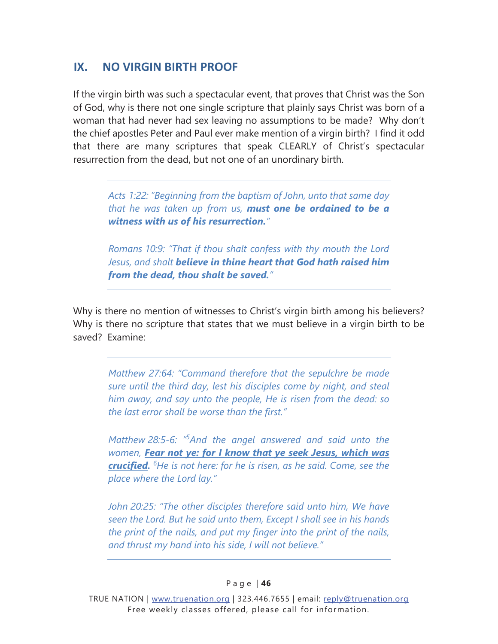# <span id="page-49-0"></span>**IX. NO VIRGIN BIRTH PROOF**

If the virgin birth was such a spectacular event, that proves that Christ was the Son of God, why is there not one single scripture that plainly says Christ was born of a woman that had never had sex leaving no assumptions to be made? Why don't the chief apostles Peter and Paul ever make mention of a virgin birth? I find it odd that there are many scriptures that speak CLEARLY of Christ's spectacular resurrection from the dead, but not one of an unordinary birth.

*Acts 1:22: "Beginning from the baptism of John, unto that same day that he was taken up from us, must one be ordained to be a witness with us of his resurrection."* 

*Romans 10:9: "That if thou shalt confess with thy mouth the Lord Jesus, and shalt believe in thine heart that God hath raised him from the dead, thou shalt be saved."* 

Why is there no mention of witnesses to Christ's virgin birth among his believers? Why is there no scripture that states that we must believe in a virgin birth to be saved? Examine:

*Matthew 27:64: "Command therefore that the sepulchre be made sure until the third day, lest his disciples come by night, and steal him away, and say unto the people, He is risen from the dead: so the last error shall be worse than the first."* 

*Matthew 28:5-6: "5 And the angel answered and said unto the women, Fear not ye: for I know that ye seek Jesus, which was crucified. <sup>6</sup> He is not here: for he is risen, as he said. Come, see the place where the Lord lay."* 

*John 20:25: "The other disciples therefore said unto him, We have seen the Lord. But he said unto them, Except I shall see in his hands the print of the nails, and put my finger into the print of the nails, and thrust my hand into his side, I will not believe."*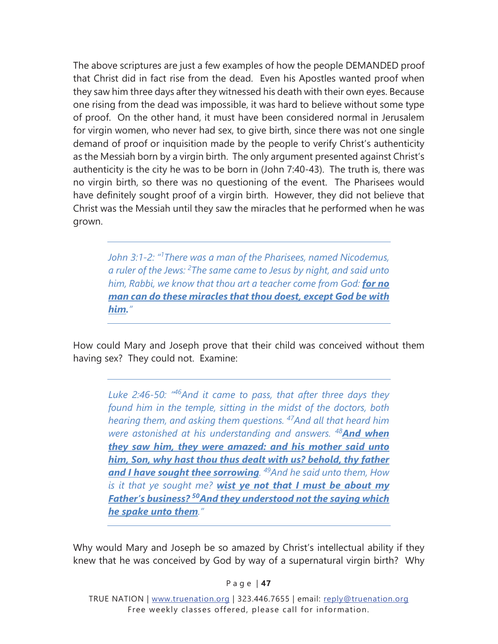The above scriptures are just a few examples of how the people DEMANDED proof that Christ did in fact rise from the dead. Even his Apostles wanted proof when they saw him three days after they witnessed his death with their own eyes. Because one rising from the dead was impossible, it was hard to believe without some type of proof. On the other hand, it must have been considered normal in Jerusalem for virgin women, who never had sex, to give birth, since there was not one single demand of proof or inquisition made by the people to verify Christ's authenticity as the Messiah born by a virgin birth. The only argument presented against Christ's authenticity is the city he was to be born in (John 7:40-43). The truth is, there was no virgin birth, so there was no questioning of the event. The Pharisees would have definitely sought proof of a virgin birth. However, they did not believe that Christ was the Messiah until they saw the miracles that he performed when he was grown.

*John 3:1-2: "1 There was a man of the Pharisees, named Nicodemus, a ruler of the Jews: 2 The same came to Jesus by night, and said unto him, Rabbi, we know that thou art a teacher come from God: for no man can do these miracles that thou doest, except God be with him."* 

How could Mary and Joseph prove that their child was conceived without them having sex? They could not. Examine:

*Luke 2:46-50: "46And it came to pass, that after three days they found him in the temple, sitting in the midst of the doctors, both hearing them, and asking them questions. 47And all that heard him were astonished at his understanding and answers. <sup>48</sup>And when they saw him, they were amazed: and his mother said unto him, Son, why hast thou thus dealt with us? behold, thy father and I have sought thee sorrowing. 49And he said unto them, How is it that ye sought me? wist ye not that I must be about my Father's business? 50And they understood not the saying which he spake unto them."* 

Why would Mary and Joseph be so amazed by Christ's intellectual ability if they knew that he was conceived by God by way of a supernatural virgin birth? Why

P a g e | **47**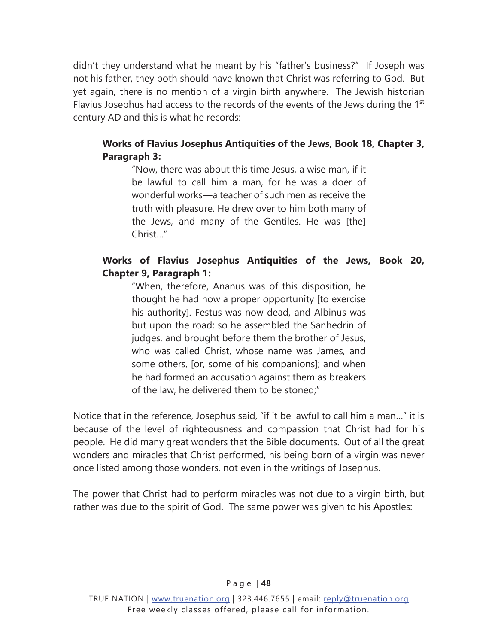didn't they understand what he meant by his "father's business?" If Joseph was not his father, they both should have known that Christ was referring to God. But yet again, there is no mention of a virgin birth anywhere. The Jewish historian Flavius Josephus had access to the records of the events of the Jews during the 1<sup>st</sup> century AD and this is what he records:

#### **Works of Flavius Josephus Antiquities of the Jews, Book 18, Chapter 3, Paragraph 3:**

"Now, there was about this time Jesus, a wise man, if it be lawful to call him a man, for he was a doer of wonderful works—a teacher of such men as receive the truth with pleasure. He drew over to him both many of the Jews, and many of the Gentiles. He was [the] Christ…"

#### Works of Flavius Josephus Antiquities of the Jews, Book 20, **Chapter 9, Paragraph 1:**

"When, therefore, Ananus was of this disposition, he thought he had now a proper opportunity [to exercise his authority]. Festus was now dead, and Albinus was but upon the road; so he assembled the Sanhedrin of judges, and brought before them the brother of Jesus, who was called Christ, whose name was James, and some others, [or, some of his companions]; and when he had formed an accusation against them as breakers of the law, he delivered them to be stoned;"

Notice that in the reference, Josephus said, "if it be lawful to call him a man…" it is because of the level of righteousness and compassion that Christ had for his people. He did many great wonders that the Bible documents. Out of all the great wonders and miracles that Christ performed, his being born of a virgin was never once listed among those wonders, not even in the writings of Josephus.

The power that Christ had to perform miracles was not due to a virgin birth, but rather was due to the spirit of God. The same power was given to his Apostles: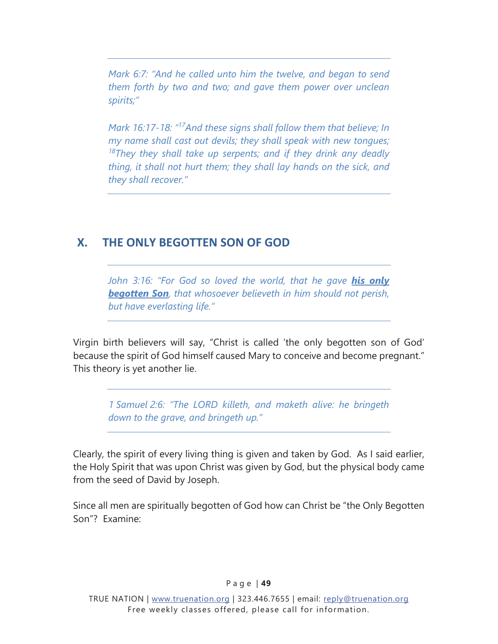<span id="page-52-0"></span>*Mark 6:7: "And he called unto him the twelve, and began to send them forth by two and two; and gave them power over unclean spirits;"* 

*Mark 16:17-18: "17And these signs shall follow them that believe; In my name shall cast out devils; they shall speak with new tongues; 18They they shall take up serpents; and if they drink any deadly thing, it shall not hurt them; they shall lay hands on the sick, and they shall recover."* 

# **X. THE ONLY BEGOTTEN SON OF GOD**

*John 3:16: "For God so loved the world, that he gave his only begotten Son, that whosoever believeth in him should not perish, but have everlasting life."* 

Virgin birth believers will say, "Christ is called 'the only begotten son of God' because the spirit of God himself caused Mary to conceive and become pregnant." This theory is yet another lie.

*1 Samuel 2:6: "The LORD killeth, and maketh alive: he bringeth down to the grave, and bringeth up."* 

Clearly, the spirit of every living thing is given and taken by God. As I said earlier, the Holy Spirit that was upon Christ was given by God, but the physical body came from the seed of David by Joseph.

Since all men are spiritually begotten of God how can Christ be "the Only Begotten Son"? Examine: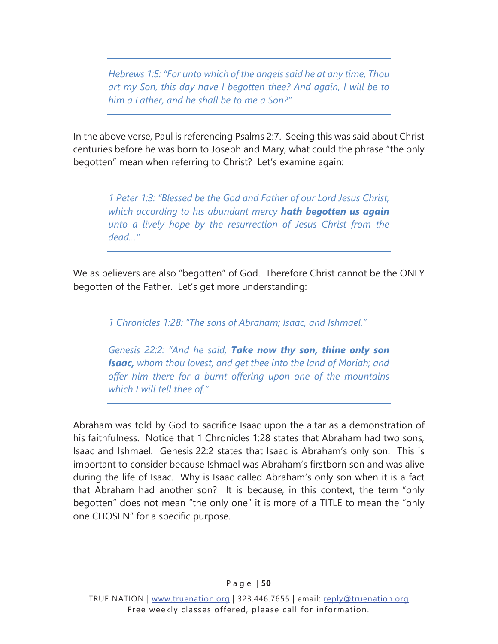*Hebrews 1:5: "For unto which of the angels said he at any time, Thou art my Son, this day have I begotten thee? And again, I will be to him a Father, and he shall be to me a Son?"* 

In the above verse, Paul is referencing Psalms 2:7. Seeing this was said about Christ centuries before he was born to Joseph and Mary, what could the phrase "the only begotten" mean when referring to Christ? Let's examine again:

*1 Peter 1:3: "Blessed be the God and Father of our Lord Jesus Christ, which according to his abundant mercy hath begotten us again unto a lively hope by the resurrection of Jesus Christ from the dead…"* 

We as believers are also "begotten" of God. Therefore Christ cannot be the ONLY begotten of the Father. Let's get more understanding:

*1 Chronicles 1:28: "The sons of Abraham; Isaac, and Ishmael."* 

*Genesis 22:2: "And he said, Take now thy son, thine only son Isaac, whom thou lovest, and get thee into the land of Moriah; and offer him there for a burnt offering upon one of the mountains which I will tell thee of."* 

Abraham was told by God to sacrifice Isaac upon the altar as a demonstration of his faithfulness. Notice that 1 Chronicles 1:28 states that Abraham had two sons, Isaac and Ishmael. Genesis 22:2 states that Isaac is Abraham's only son. This is important to consider because Ishmael was Abraham's firstborn son and was alive during the life of Isaac. Why is Isaac called Abraham's only son when it is a fact that Abraham had another son? It is because, in this context, the term "only begotten" does not mean "the only one" it is more of a TITLE to mean the "only one CHOSEN" for a specific purpose.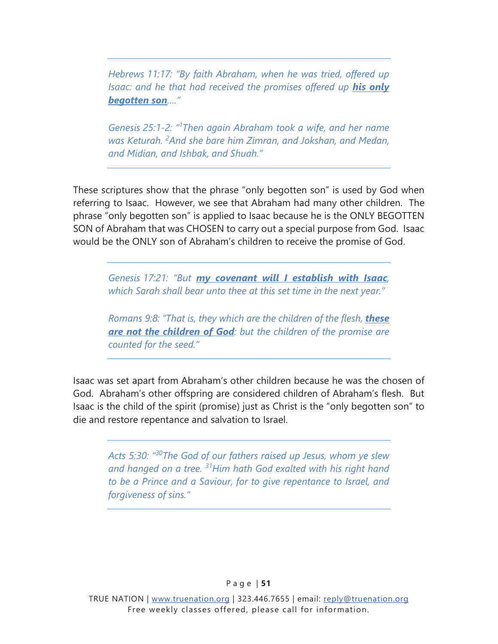*Hebrews 11:17: "By faith Abraham, when he was tried, offered up Isaac: and he that had received the promises offered up his only begotten son…."* 

*Genesis 25:1-2: "1 Then again Abraham took a wife, and her name was Keturah. <sup>2</sup> And she bare him Zimran, and Jokshan, and Medan, and Midian, and Ishbak, and Shuah."* 

These scriptures show that the phrase "only begotten son" is used by God when referring to Isaac. However, we see that Abraham had many other children. The phrase "only begotten son" is applied to Isaac because he is the ONLY BEGOTTEN SON of Abraham that was CHOSEN to carry out a special purpose from God. Isaac would be the ONLY son of Abraham's children to receive the promise of God.

*Genesis 17:21: "But my covenant will I establish with Isaac, which Sarah shall bear unto thee at this set time in the next year."* 

*Romans 9:8: "That is, they which are the children of the flesh, these are not the children of God: but the children of the promise are counted for the seed."* 

Isaac was set apart from Abraham's other children because he was the chosen of God. Abraham's other offspring are considered children of Abraham's flesh. But Isaac is the child of the spirit (promise) just as Christ is the "only begotten son" to die and restore repentance and salvation to Israel.

*Acts 5:30: "30The God of our fathers raised up Jesus, whom ye slew and hanged on a tree. 31Him hath God exalted with his right hand to be a Prince and a Saviour, for to give repentance to Israel, and forgiveness of sins."*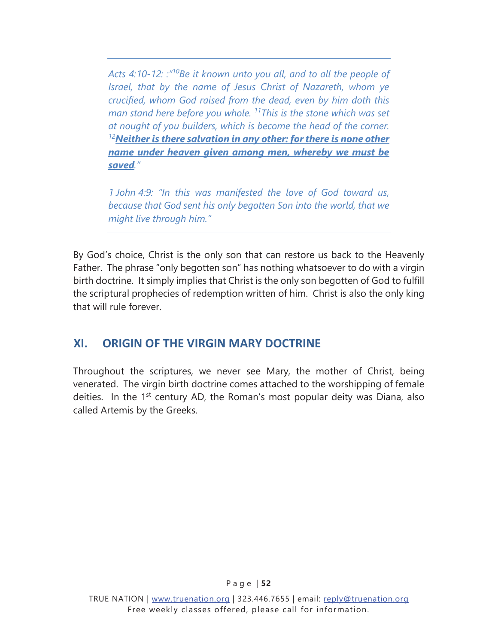<span id="page-55-0"></span>*Acts 4:10-12: :"10Be it known unto you all, and to all the people of Israel, that by the name of Jesus Christ of Nazareth, whom ye crucified, whom God raised from the dead, even by him doth this man stand here before you whole. 11This is the stone which was set at nought of you builders, which is become the head of the corner. <sup>12</sup>Neither is there salvation in any other: for there is none other name under heaven given among men, whereby we must be saved."* 

*1 John 4:9: "In this was manifested the love of God toward us, because that God sent his only begotten Son into the world, that we might live through him."* 

By God's choice, Christ is the only son that can restore us back to the Heavenly Father. The phrase "only begotten son" has nothing whatsoever to do with a virgin birth doctrine. It simply implies that Christ is the only son begotten of God to fulfill the scriptural prophecies of redemption written of him. Christ is also the only king that will rule forever.

# **XI. ORIGIN OF THE VIRGIN MARY DOCTRINE**

Throughout the scriptures, we never see Mary, the mother of Christ, being venerated. The virgin birth doctrine comes attached to the worshipping of female deities. In the  $1<sup>st</sup>$  century AD, the Roman's most popular deity was Diana, also called Artemis by the Greeks.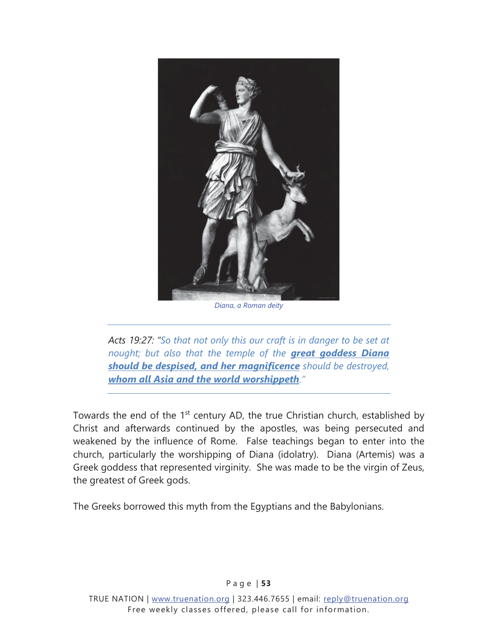

*Diana, a Roman deity* 

*Acts 19:27: "So that not only this our craft is in danger to be set at nought; but also that the temple of the great goddess Diana should be despised, and her magnificence should be destroyed, whom all Asia and the world worshippeth."* 

Towards the end of the  $1<sup>st</sup>$  century AD, the true Christian church, established by Christ and afterwards continued by the apostles, was being persecuted and weakened by the influence of Rome. False teachings began to enter into the church, particularly the worshipping of Diana (idolatry). Diana (Artemis) was a Greek goddess that represented virginity. She was made to be the virgin of Zeus, the greatest of Greek gods.

The Greeks borrowed this myth from the Egyptians and the Babylonians.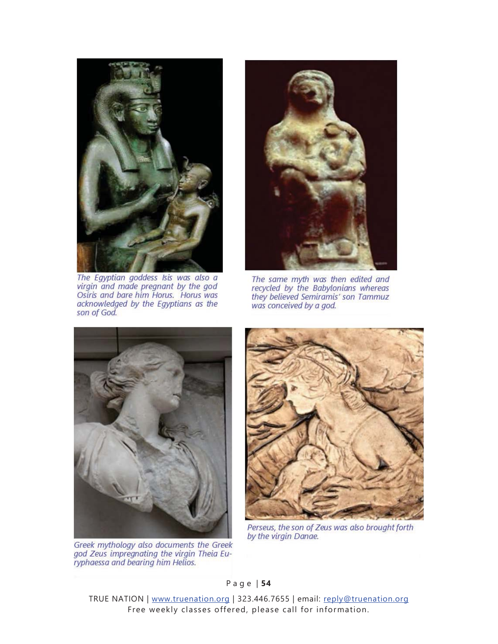

The Egyptian goddess Isis was also a<br>virgin and made pregnant by the god Osiris and bare him Horus. Horus was acknowledged by the Egyptians as the son of God.



The same myth was then edited and recycled by the Babylonians whereas they believed Semiramis' son Tammuz was conceived by a god.



Greek mythology also documents the Greek<br>god Zeus impregnating the virgin Theia Eu-<br>ryphaessa and bearing him Helios.



Perseus, the son of Zeus was also brought forth by the virgin Danae.

P a g e | **54**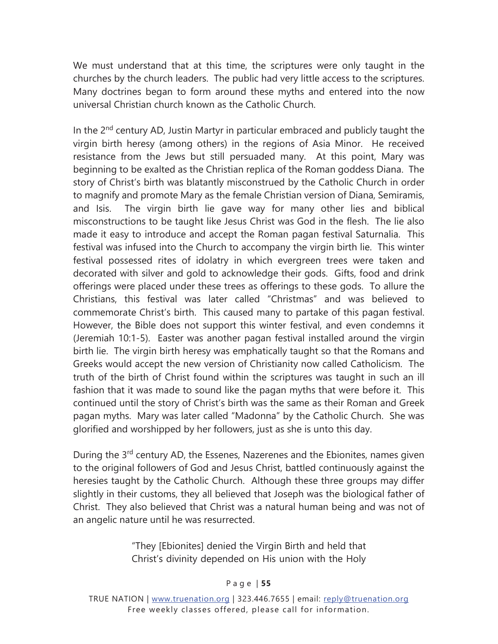We must understand that at this time, the scriptures were only taught in the churches by the church leaders. The public had very little access to the scriptures. Many doctrines began to form around these myths and entered into the now universal Christian church known as the Catholic Church.

In the 2<sup>nd</sup> century AD, Justin Martyr in particular embraced and publicly taught the virgin birth heresy (among others) in the regions of Asia Minor. He received resistance from the Jews but still persuaded many. At this point, Mary was beginning to be exalted as the Christian replica of the Roman goddess Diana. The story of Christ's birth was blatantly misconstrued by the Catholic Church in order to magnify and promote Mary as the female Christian version of Diana, Semiramis, and Isis. The virgin birth lie gave way for many other lies and biblical misconstructions to be taught like Jesus Christ was God in the flesh. The lie also made it easy to introduce and accept the Roman pagan festival Saturnalia. This festival was infused into the Church to accompany the virgin birth lie. This winter festival possessed rites of idolatry in which evergreen trees were taken and decorated with silver and gold to acknowledge their gods. Gifts, food and drink offerings were placed under these trees as offerings to these gods. To allure the Christians, this festival was later called "Christmas" and was believed to commemorate Christ's birth. This caused many to partake of this pagan festival. However, the Bible does not support this winter festival, and even condemns it (Jeremiah 10:1-5). Easter was another pagan festival installed around the virgin birth lie. The virgin birth heresy was emphatically taught so that the Romans and Greeks would accept the new version of Christianity now called Catholicism. The truth of the birth of Christ found within the scriptures was taught in such an ill fashion that it was made to sound like the pagan myths that were before it. This continued until the story of Christ's birth was the same as their Roman and Greek pagan myths. Mary was later called "Madonna" by the Catholic Church. She was glorified and worshipped by her followers, just as she is unto this day.

During the 3<sup>rd</sup> century AD, the Essenes, Nazerenes and the Ebionites, names given to the original followers of God and Jesus Christ, battled continuously against the heresies taught by the Catholic Church. Although these three groups may differ slightly in their customs, they all believed that Joseph was the biological father of Christ. They also believed that Christ was a natural human being and was not of an angelic nature until he was resurrected.

> "They [Ebionites] denied the Virgin Birth and held that Christ's divinity depended on His union with the Holy

#### P a g e | **55**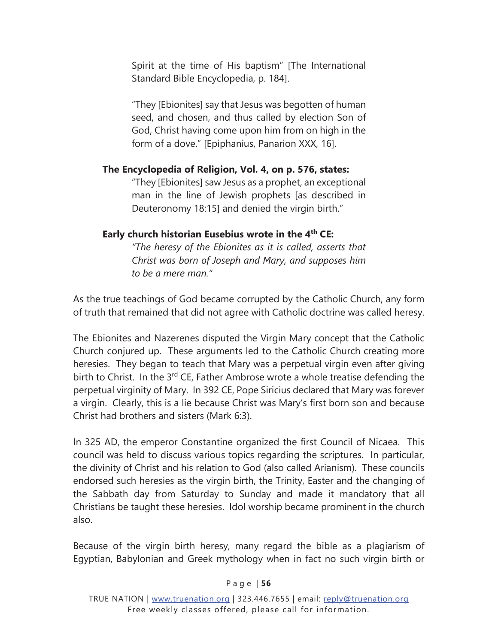Spirit at the time of His baptism" [The International Standard Bible Encyclopedia, p. 184].

"They [Ebionites] say that Jesus was begotten of human seed, and chosen, and thus called by election Son of God, Christ having come upon him from on high in the form of a dove." [Epiphanius, Panarion XXX, 16].

#### The Encyclopedia of Religion, Vol. 4, on p. 576, states:

"They [Ebionites] saw Jesus as a prophet, an exceptional man in the line of Jewish prophets [as described in Deuteronomy 18:15] and denied the virgin birth."

#### **Early church historian Eusebius wrote in the 4<sup>th</sup> CE:**

*"The heresy of the Ebionites as it is called, asserts that Christ was born of Joseph and Mary, and supposes him to be a mere man."* 

As the true teachings of God became corrupted by the Catholic Church, any form of truth that remained that did not agree with Catholic doctrine was called heresy.

The Ebionites and Nazerenes disputed the Virgin Mary concept that the Catholic Church conjured up. These arguments led to the Catholic Church creating more heresies. They began to teach that Mary was a perpetual virgin even after giving birth to Christ. In the  $3^{rd}$  CE, Father Ambrose wrote a whole treatise defending the perpetual virginity of Mary. In 392 CE, Pope Siricius declared that Mary was forever a virgin. Clearly, this is a lie because Christ was Mary's first born son and because Christ had brothers and sisters (Mark 6:3).

In 325 AD, the emperor Constantine organized the first Council of Nicaea. This council was held to discuss various topics regarding the scriptures. In particular, the divinity of Christ and his relation to God (also called Arianism). These councils endorsed such heresies as the virgin birth, the Trinity, Easter and the changing of the Sabbath day from Saturday to Sunday and made it mandatory that all Christians be taught these heresies. Idol worship became prominent in the church also.

Because of the virgin birth heresy, many regard the bible as a plagiarism of Egyptian, Babylonian and Greek mythology when in fact no such virgin birth or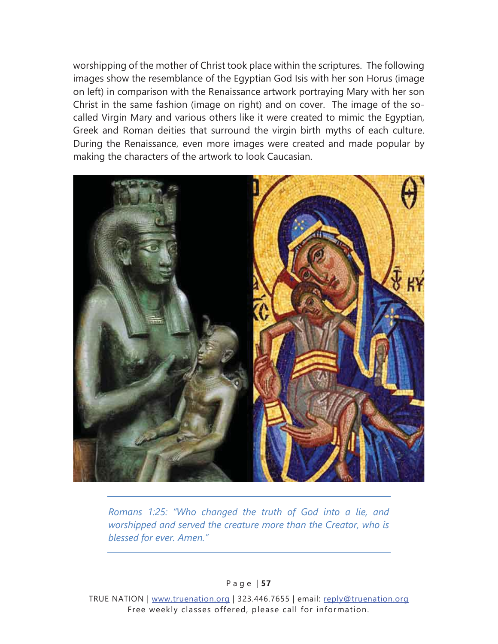worshipping of the mother of Christ took place within the scriptures. The following images show the resemblance of the Egyptian God Isis with her son Horus (image on left) in comparison with the Renaissance artwork portraying Mary with her son Christ in the same fashion (image on right) and on cover. The image of the socalled Virgin Mary and various others like it were created to mimic the Egyptian, Greek and Roman deities that surround the virgin birth myths of each culture. During the Renaissance, even more images were created and made popular by making the characters of the artwork to look Caucasian.



*Romans 1:25: "Who changed the truth of God into a lie, and worshipped and served the creature more than the Creator, who is blessed for ever. Amen."* 

P a g e | **57**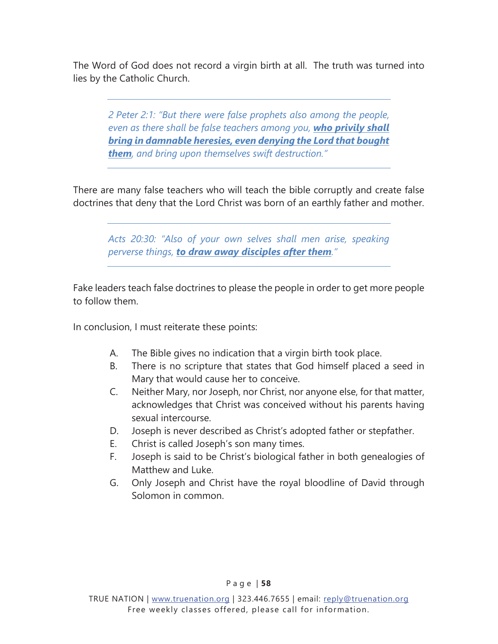The Word of God does not record a virgin birth at all. The truth was turned into lies by the Catholic Church.

*2 Peter 2:1: "But there were false prophets also among the people, even as there shall be false teachers among you, who privily shall bring in damnable heresies, even denying the Lord that bought them, and bring upon themselves swift destruction."* 

There are many false teachers who will teach the bible corruptly and create false doctrines that deny that the Lord Christ was born of an earthly father and mother.

*Acts 20:30: "Also of your own selves shall men arise, speaking perverse things, to draw away disciples after them."* 

Fake leaders teach false doctrines to please the people in order to get more people to follow them.

In conclusion, I must reiterate these points:

- A. The Bible gives no indication that a virgin birth took place.
- B. There is no scripture that states that God himself placed a seed in Mary that would cause her to conceive.
- C. Neither Mary, nor Joseph, nor Christ, nor anyone else, for that matter, acknowledges that Christ was conceived without his parents having sexual intercourse.
- D. Joseph is never described as Christ's adopted father or stepfather.
- E. Christ is called Joseph's son many times.
- F. Joseph is said to be Christ's biological father in both genealogies of Matthew and Luke.
- G. Only Joseph and Christ have the royal bloodline of David through Solomon in common.